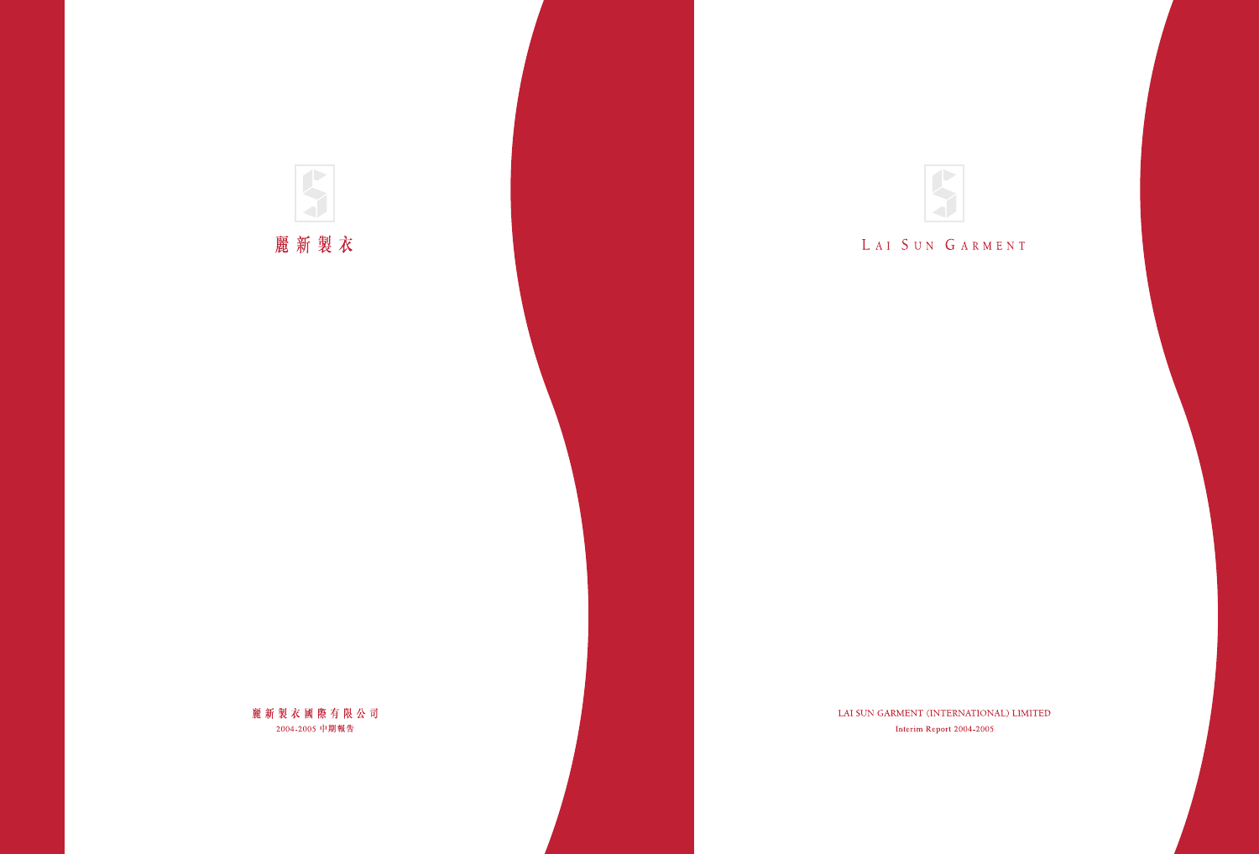

# LAI SUN GARMENT

LAI SUN GARMENT (INTERNATIONAL) LIMITED Interim Report 2004-2005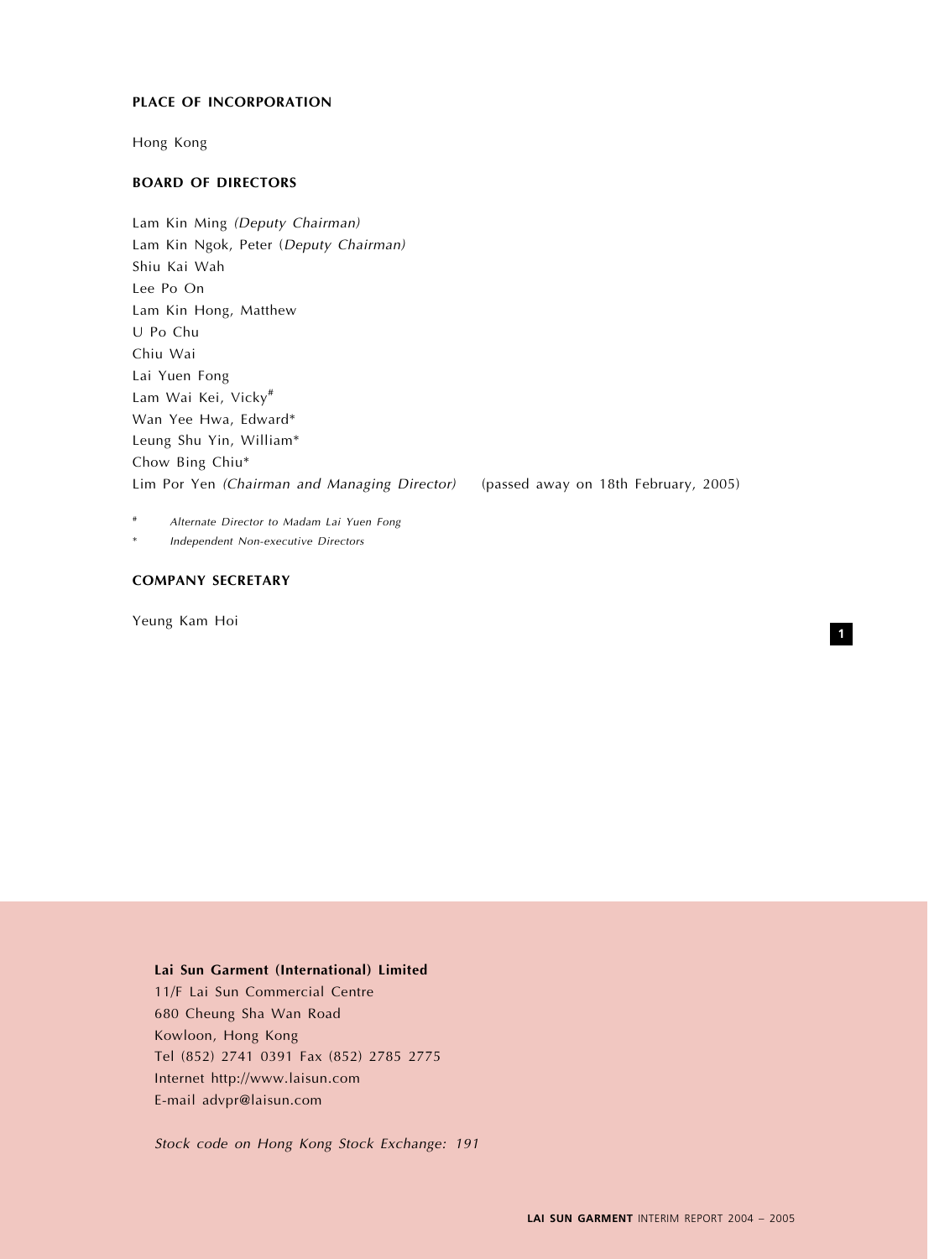# PLACE OF INCORPORATION

Hong Kong

# BOARD OF DIRECTORS

Lam Kin Ming (Deputy Chairman) Lam Kin Ngok, Peter (Deputy Chairman) Shiu Kai Wah Lee Po On Lam Kin Hong, Matthew U Po Chu Chiu Wai Lai Yuen Fong Lam Wai Kei, Vicky# Wan Yee Hwa, Edward\* Leung Shu Yin, William\* Chow Bing Chiu\* Lim Por Yen (Chairman and Managing Director) (passed away on 18th February, 2005)

1

Alternate Director to Madam Lai Yuen Fong

Independent Non-executive Directors

# COMPANY SECRETARY

Yeung Kam Hoi

# Lai Sun Garment (International) Limited

11/F Lai Sun Commercial Centre 680 Cheung Sha Wan Road Kowloon, Hong Kong Tel (852) 2741 0391 Fax (852) 2785 2775 Internet http://www.laisun.com E-mail advpr@laisun.com

Stock code on Hong Kong Stock Exchange: 191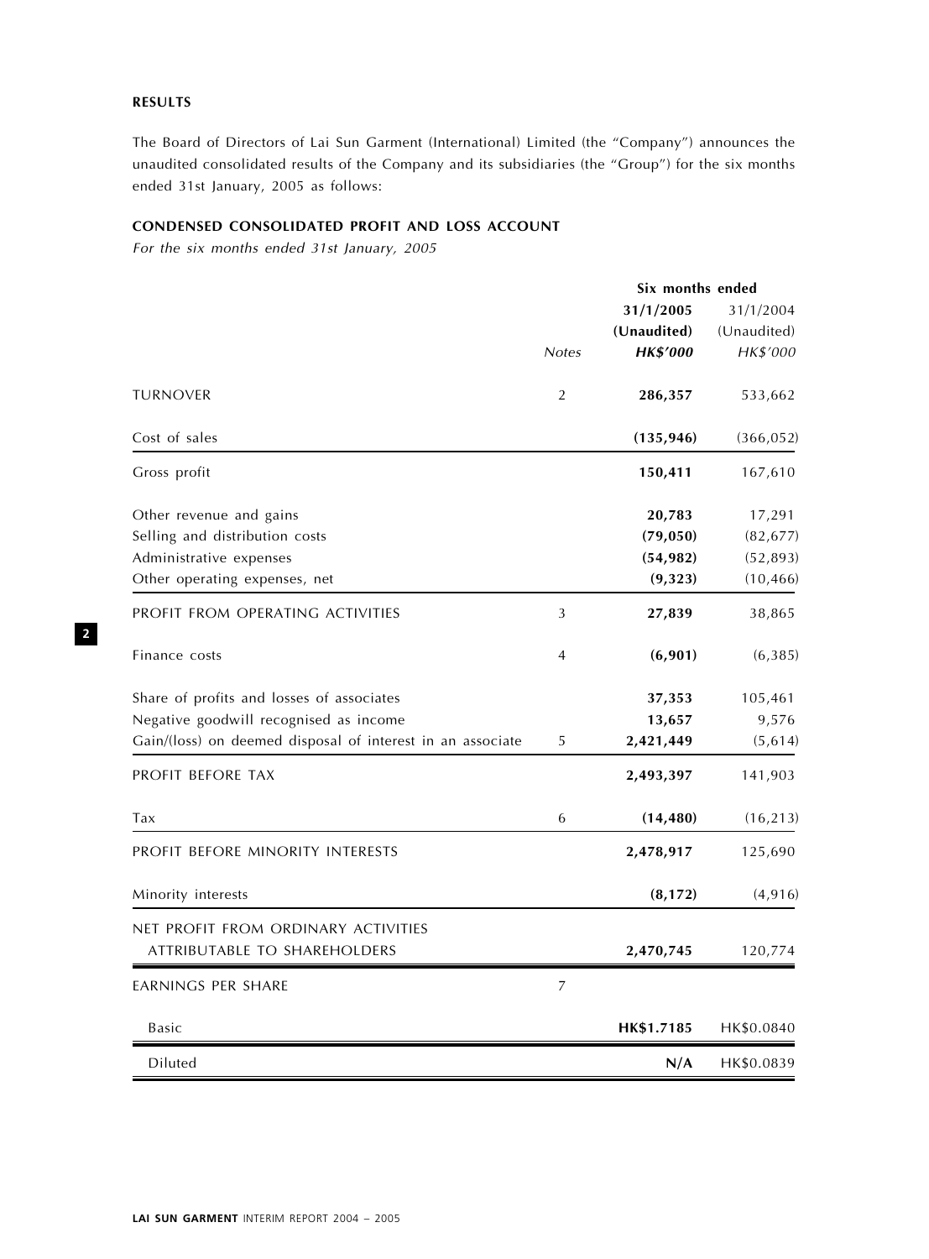# RESULTS

The Board of Directors of Lai Sun Garment (International) Limited (the ''Company'') announces the unaudited consolidated results of the Company and its subsidiaries (the "Group") for the six months ended 31st January, 2005 as follows:

# CONDENSED CONSOLIDATED PROFIT AND LOSS ACCOUNT

For the six months ended 31st January, 2005

|                                                            | Six months ended |                 |             |  |
|------------------------------------------------------------|------------------|-----------------|-------------|--|
|                                                            |                  | 31/1/2005       | 31/1/2004   |  |
|                                                            |                  | (Unaudited)     | (Unaudited) |  |
|                                                            | <b>Notes</b>     | <b>HK\$'000</b> | HK\$'000    |  |
| <b>TURNOVER</b>                                            | $\overline{2}$   | 286,357         | 533,662     |  |
| Cost of sales                                              |                  | (135, 946)      | (366, 052)  |  |
| Gross profit                                               |                  | 150,411         | 167,610     |  |
| Other revenue and gains                                    |                  | 20,783          | 17,291      |  |
| Selling and distribution costs                             |                  | (79, 050)       | (82, 677)   |  |
| Administrative expenses                                    |                  | (54, 982)       | (52, 893)   |  |
| Other operating expenses, net                              |                  | (9, 323)        | (10, 466)   |  |
| PROFIT FROM OPERATING ACTIVITIES                           | 3                | 27,839          | 38,865      |  |
| Finance costs                                              | 4                | (6,901)         | (6,385)     |  |
| Share of profits and losses of associates                  |                  | 37,353          | 105,461     |  |
| Negative goodwill recognised as income                     |                  | 13,657          | 9,576       |  |
| Gain/(loss) on deemed disposal of interest in an associate | 5                | 2,421,449       | (5, 614)    |  |
| PROFIT BEFORE TAX                                          |                  | 2,493,397       | 141,903     |  |
| Tax                                                        | 6                | (14, 480)       | (16, 213)   |  |
| PROFIT BEFORE MINORITY INTERESTS                           |                  | 2,478,917       | 125,690     |  |
| Minority interests                                         |                  | (8, 172)        | (4, 916)    |  |
| NET PROFIT FROM ORDINARY ACTIVITIES                        |                  |                 |             |  |
| ATTRIBUTABLE TO SHAREHOLDERS                               |                  | 2,470,745       | 120,774     |  |
| EARNINGS PER SHARE                                         | 7                |                 |             |  |
| <b>Basic</b>                                               |                  | HK\$1.7185      | HK\$0.0840  |  |
| Diluted                                                    |                  | N/A             | HK\$0.0839  |  |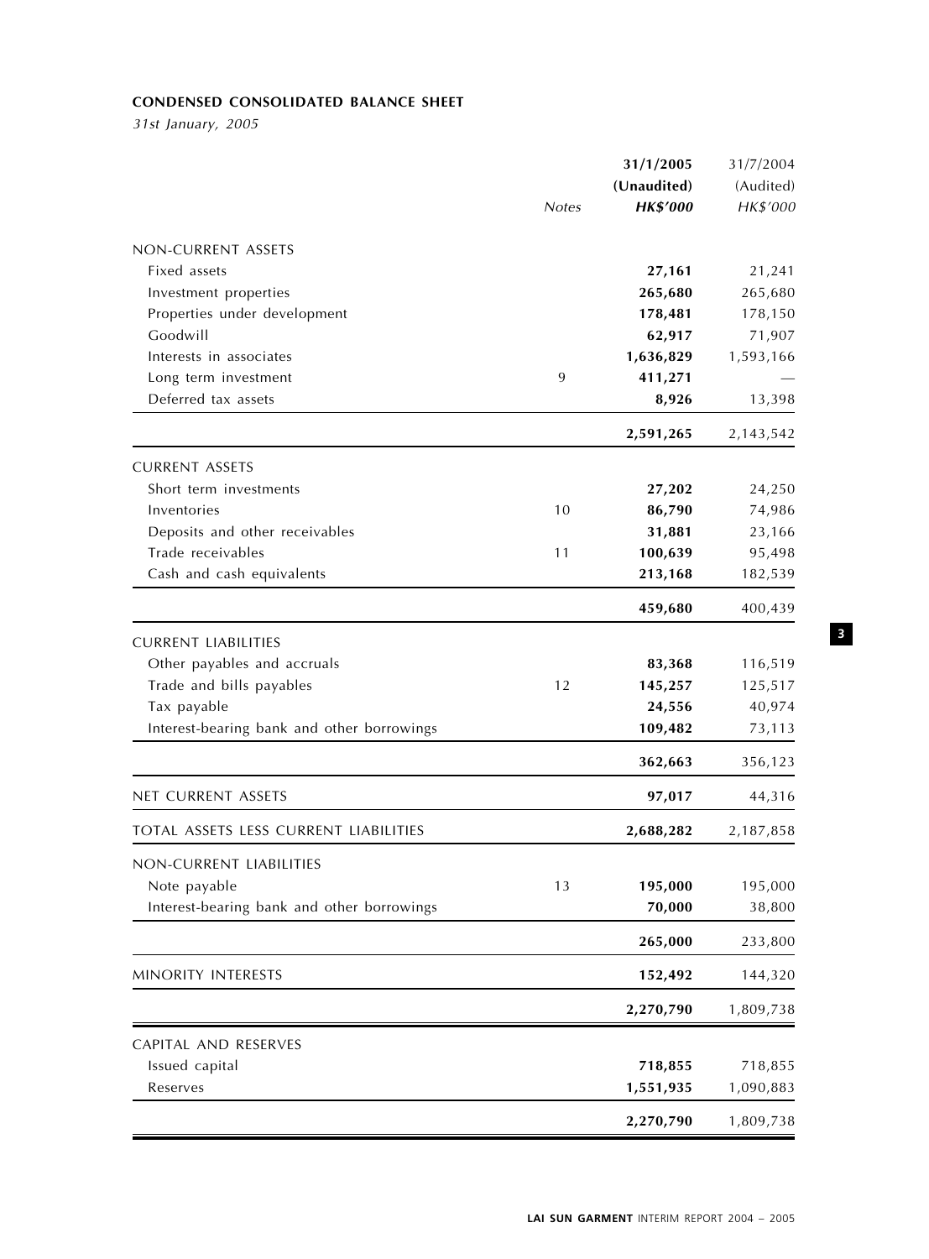# CONDENSED CONSOLIDATED BALANCE SHEET

31st January, 2005

|                                            |              | 31/1/2005       | 31/7/2004 |
|--------------------------------------------|--------------|-----------------|-----------|
|                                            |              | (Unaudited)     | (Audited) |
|                                            | <b>Notes</b> | <b>HK\$'000</b> | HK\$'000  |
| NON-CURRENT ASSETS                         |              |                 |           |
| Fixed assets                               |              | 27,161          | 21,241    |
| Investment properties                      |              | 265,680         | 265,680   |
| Properties under development               |              | 178,481         | 178,150   |
| Goodwill                                   |              | 62,917          | 71,907    |
| Interests in associates                    |              | 1,636,829       | 1,593,166 |
| Long term investment                       | 9            | 411,271         |           |
| Deferred tax assets                        |              | 8,926           | 13,398    |
|                                            |              | 2,591,265       | 2,143,542 |
| <b>CURRENT ASSETS</b>                      |              |                 |           |
| Short term investments                     |              | 27,202          | 24,250    |
| Inventories                                | 10           | 86,790          | 74,986    |
| Deposits and other receivables             |              | 31,881          | 23,166    |
| Trade receivables                          | 11           | 100,639         | 95,498    |
| Cash and cash equivalents                  |              | 213,168         | 182,539   |
|                                            |              | 459,680         | 400,439   |
| <b>CURRENT LIABILITIES</b>                 |              |                 |           |
| Other payables and accruals                |              | 83,368          | 116,519   |
| Trade and bills payables                   | 12           | 145,257         | 125,517   |
| Tax payable                                |              | 24,556          | 40,974    |
| Interest-bearing bank and other borrowings |              | 109,482         | 73,113    |
|                                            |              | 362,663         | 356,123   |
| <b>NET CURRENT ASSETS</b>                  |              | 97,017          | 44,316    |
| TOTAL ASSETS LESS CURRENT LIABILITIES      |              | 2,688,282       | 2,187,858 |
| NON-CURRENT LIABILITIES                    |              |                 |           |
| Note payable                               | 13           | 195,000         | 195,000   |
| Interest-bearing bank and other borrowings |              | 70,000          | 38,800    |
|                                            |              | 265,000         | 233,800   |
| MINORITY INTERESTS                         |              | 152,492         | 144,320   |
|                                            |              | 2,270,790       | 1,809,738 |
| CAPITAL AND RESERVES                       |              |                 |           |
| Issued capital                             |              | 718,855         | 718,855   |
| Reserves                                   |              | 1,551,935       | 1,090,883 |
|                                            |              | 2,270,790       | 1,809,738 |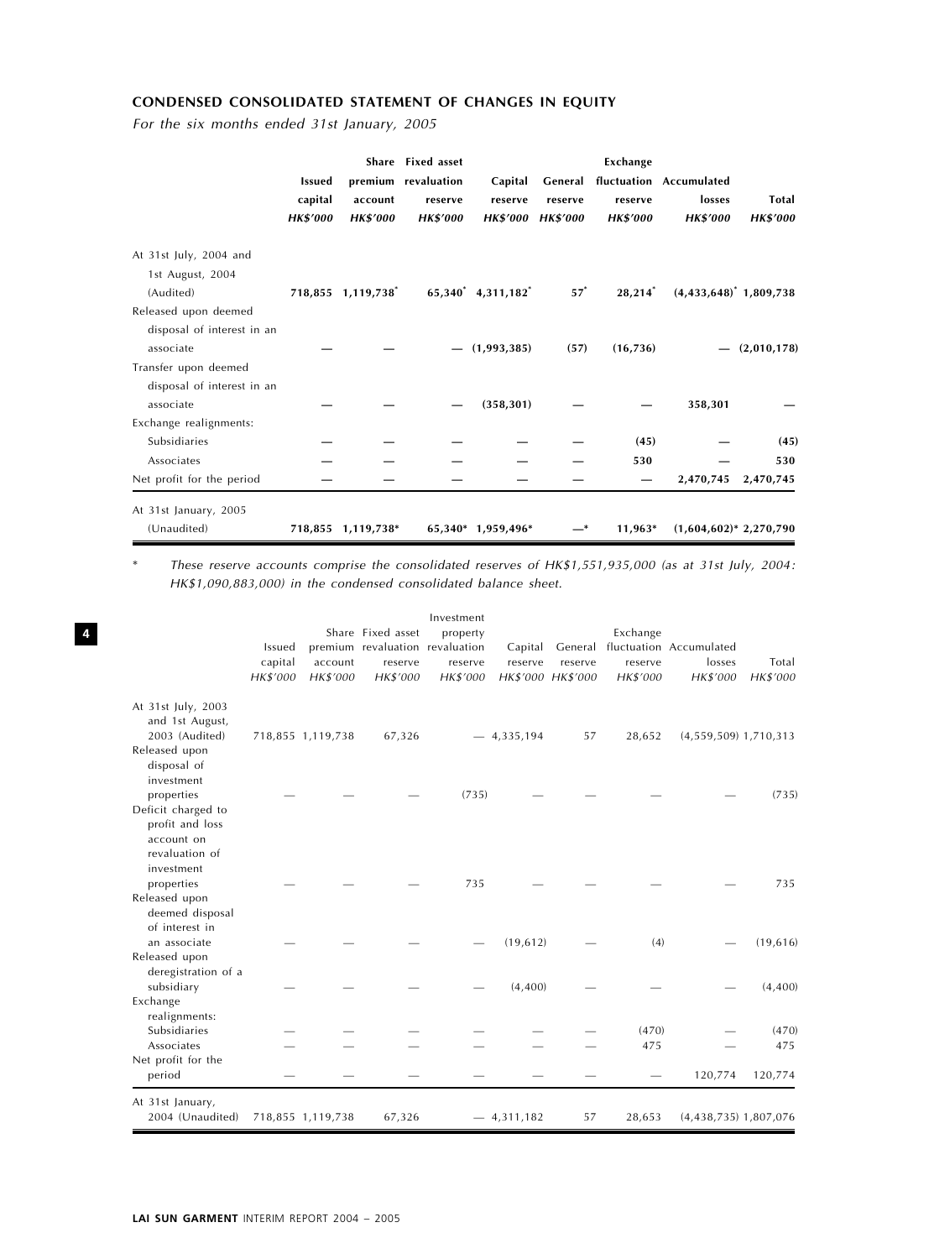# CONDENSED CONSOLIDATED STATEMENT OF CHANGES IN EQUITY

For the six months ended 31st January, 2005

|                                            | <b>Issued</b><br>capital<br><b>HK\$'000</b> | account<br><b>HK\$'000</b> | Share Fixed asset<br>premium revaluation<br>reserve<br><b>HK\$'000</b> | Capital<br>reserve<br><b>HK\$′000</b> | reserve<br><b>HK\$'000</b> | Exchange<br>reserve<br><b>HK\$'000</b> | General fluctuation Accumulated<br>losses<br><b>HK\$'000</b> | Total<br><b>HK\$'000</b> |
|--------------------------------------------|---------------------------------------------|----------------------------|------------------------------------------------------------------------|---------------------------------------|----------------------------|----------------------------------------|--------------------------------------------------------------|--------------------------|
| At 31st July, 2004 and<br>1st August, 2004 |                                             |                            |                                                                        |                                       |                            |                                        |                                                              |                          |
| (Audited)                                  |                                             | 718,855 1,119,738          |                                                                        | 65,340 4,311,182                      | $57^*$                     | $28,214$ <sup>*</sup>                  | $(4,433,648)^*$ 1,809,738                                    |                          |
| Released upon deemed                       |                                             |                            |                                                                        |                                       |                            |                                        |                                                              |                          |
| disposal of interest in an                 |                                             |                            |                                                                        |                                       |                            |                                        |                                                              |                          |
| associate                                  |                                             |                            |                                                                        | (1,993,385)                           | (57)                       | (16, 736)                              |                                                              | (2,010,178)              |
| Transfer upon deemed                       |                                             |                            |                                                                        |                                       |                            |                                        |                                                              |                          |
| disposal of interest in an                 |                                             |                            |                                                                        |                                       |                            |                                        |                                                              |                          |
| associate                                  |                                             |                            |                                                                        | (358, 301)                            |                            |                                        | 358,301                                                      |                          |
| Exchange realignments:                     |                                             |                            |                                                                        |                                       |                            |                                        |                                                              |                          |
| Subsidiaries                               |                                             |                            |                                                                        |                                       |                            | (45)                                   |                                                              | (45)                     |
| Associates                                 |                                             |                            |                                                                        |                                       |                            | 530                                    |                                                              | 530                      |
| Net profit for the period                  |                                             |                            |                                                                        |                                       |                            |                                        | 2,470,745                                                    | 2,470,745                |
| At 31st January, 2005                      |                                             |                            |                                                                        |                                       |                            |                                        |                                                              |                          |
| (Unaudited)                                |                                             | 718,855 1,119,738*         |                                                                        | 65,340* 1,959,496*                    | —*                         | 11,963*                                | $(1,604,602)^*$ 2,270,790                                    |                          |

\* These reserve accounts comprise the consolidated reserves of HK\$1,551,935,000 (as at 31st July, 2004: HK\$1,090,883,000) in the condensed consolidated balance sheet.

|                                                                                              | Issued<br>capital<br>HK\$'000 | account<br>HK\$'000 | Share Fixed asset<br>premium revaluation revaluation<br>reserve<br>HK\$'000 | Investment<br>property<br>reserve<br>HK\$'000 | Capital<br>reserve | reserve<br>HK\$'000 HK\$'000 | Exchange<br>reserve<br>HK\$'000 | General fluctuation Accumulated<br>losses<br>HK\$'000 | Total<br>HK\$'000 |
|----------------------------------------------------------------------------------------------|-------------------------------|---------------------|-----------------------------------------------------------------------------|-----------------------------------------------|--------------------|------------------------------|---------------------------------|-------------------------------------------------------|-------------------|
| At 31st July, 2003<br>and 1st August,<br>2003 (Audited)<br>Released upon<br>disposal of      |                               | 718,855 1,119,738   | 67,326                                                                      |                                               | $-4,335,194$       | 57                           | 28,652                          | $(4,559,509)$ 1,710,313                               |                   |
| investment<br>properties<br>Deficit charged to<br>profit and loss                            |                               |                     |                                                                             | (735)                                         |                    |                              |                                 |                                                       | (735)             |
| account on<br>revaluation of<br>investment<br>properties<br>Released upon<br>deemed disposal |                               |                     |                                                                             | 735                                           |                    |                              |                                 |                                                       | 735               |
| of interest in<br>an associate<br>Released upon                                              |                               |                     |                                                                             |                                               | (19, 612)          |                              | (4)                             |                                                       | (19,616)          |
| deregistration of a<br>subsidiary<br>Exchange                                                |                               |                     |                                                                             |                                               | (4,400)            |                              |                                 |                                                       | (4,400)           |
| realignments:<br>Subsidiaries<br>Associates<br>Net profit for the                            |                               |                     |                                                                             |                                               |                    |                              | (470)<br>475                    |                                                       | (470)<br>475      |
| period                                                                                       |                               |                     |                                                                             |                                               |                    |                              |                                 | 120,774                                               | 120,774           |
| At 31st January,<br>2004 (Unaudited)                                                         |                               | 718,855 1,119,738   | 67,326                                                                      |                                               | $-4,311,182$       | 57                           | 28,653                          | $(4,438,735)$ 1,807,076                               |                   |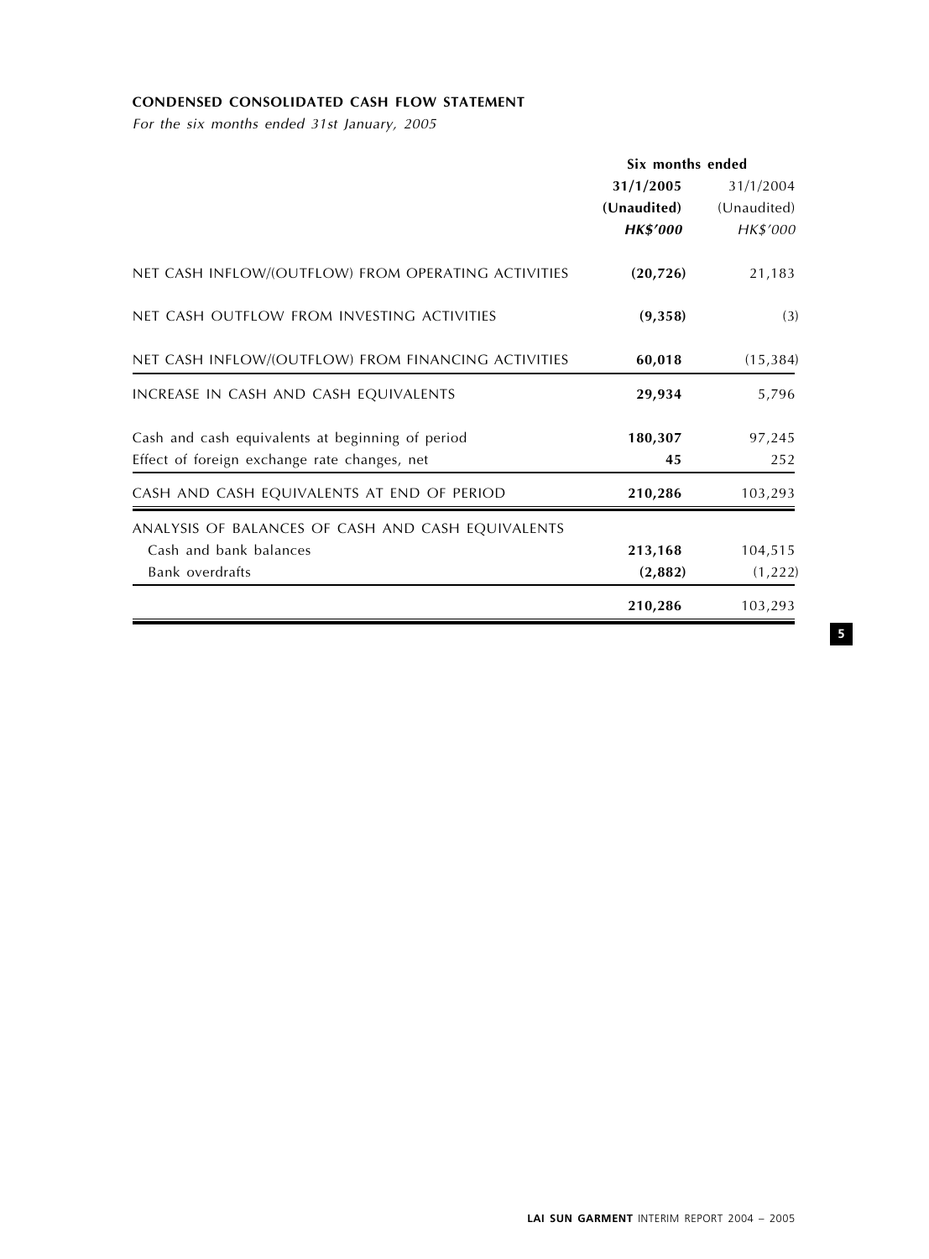# CONDENSED CONSOLIDATED CASH FLOW STATEMENT

For the six months ended 31st January, 2005

|                                                     | Six months ended |             |  |
|-----------------------------------------------------|------------------|-------------|--|
|                                                     | 31/1/2005        | 31/1/2004   |  |
|                                                     | (Unaudited)      | (Unaudited) |  |
|                                                     | <b>HK\$'000</b>  | HK\$'000    |  |
| NET CASH INFLOW/(OUTFLOW) FROM OPERATING ACTIVITIES | (20, 726)        | 21,183      |  |
| NET CASH OUTFLOW FROM INVESTING ACTIVITIES          | (9,358)          | (3)         |  |
| NET CASH INFLOW/(OUTFLOW) FROM FINANCING ACTIVITIES | 60,018           | (15, 384)   |  |
| INCREASE IN CASH AND CASH EQUIVALENTS               | 29,934           | 5,796       |  |
| Cash and cash equivalents at beginning of period    | 180,307          | 97,245      |  |
| Effect of foreign exchange rate changes, net        | 45               | 252         |  |
| CASH AND CASH EQUIVALENTS AT END OF PERIOD          | 210,286          | 103,293     |  |
| ANALYSIS OF BALANCES OF CASH AND CASH EQUIVALENTS   |                  |             |  |
| Cash and bank balances                              | 213,168          | 104,515     |  |
| Bank overdrafts                                     | (2,882)          | (1,222)     |  |
|                                                     | 210,286          | 103,293     |  |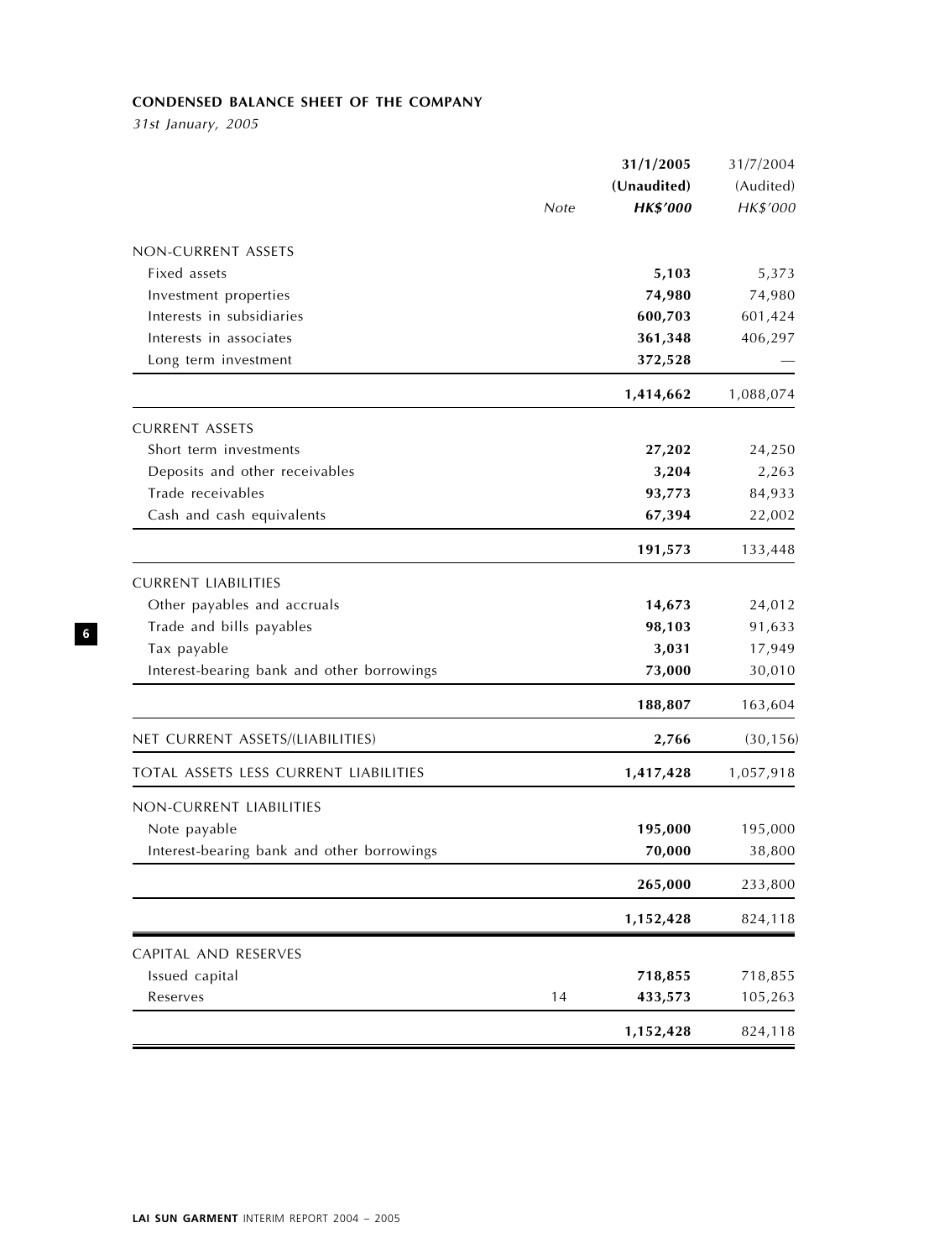# CONDENSED BALANCE SHEET OF THE COMPANY

31st January, 2005

|                                            | 31/1/2005       | 31/7/2004 |
|--------------------------------------------|-----------------|-----------|
|                                            | (Unaudited)     | (Audited) |
| Note                                       | <b>HK\$'000</b> | HK\$'000  |
| NON-CURRENT ASSETS                         |                 |           |
| Fixed assets                               | 5,103           | 5,373     |
| Investment properties                      | 74,980          | 74,980    |
| Interests in subsidiaries                  | 600,703         | 601,424   |
| Interests in associates                    | 361,348         | 406,297   |
| Long term investment                       | 372,528         |           |
|                                            | 1,414,662       | 1,088,074 |
| <b>CURRENT ASSETS</b>                      |                 |           |
| Short term investments                     | 27,202          | 24,250    |
| Deposits and other receivables             | 3,204           | 2,263     |
| Trade receivables                          | 93,773          | 84,933    |
| Cash and cash equivalents                  | 67,394          | 22,002    |
|                                            | 191,573         | 133,448   |
| <b>CURRENT LIABILITIES</b>                 |                 |           |
| Other payables and accruals                | 14,673          | 24,012    |
| Trade and bills payables                   | 98,103          | 91,633    |
| Tax payable                                | 3,031           | 17,949    |
| Interest-bearing bank and other borrowings | 73,000          | 30,010    |
|                                            | 188,807         | 163,604   |
| NET CURRENT ASSETS/(LIABILITIES)           | 2,766           | (30, 156) |
| TOTAL ASSETS LESS CURRENT LIABILITIES      | 1,417,428       | 1,057,918 |
| NON-CURRENT LIABILITIES                    |                 |           |
| Note payable                               | 195,000         | 195,000   |
| Interest-bearing bank and other borrowings | 70,000          | 38,800    |
|                                            | 265,000         | 233,800   |
|                                            | 1,152,428       | 824,118   |
| CAPITAL AND RESERVES                       |                 |           |
| Issued capital                             | 718,855         | 718,855   |
| Reserves<br>14                             | 433,573         | 105,263   |
|                                            | 1,152,428       | 824,118   |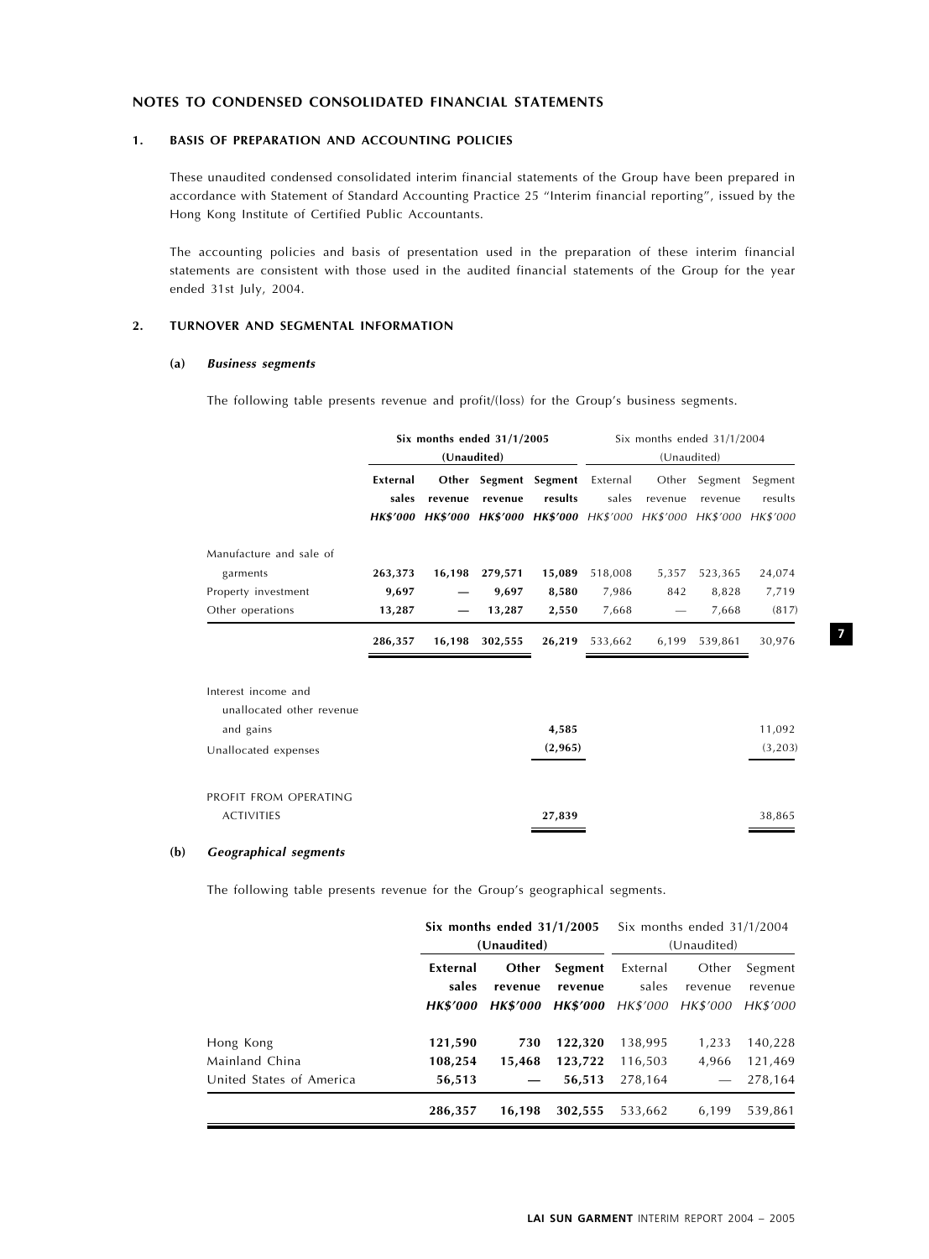# NOTES TO CONDENSED CONSOLIDATED FINANCIAL STATEMENTS

## 1. BASIS OF PREPARATION AND ACCOUNTING POLICIES

These unaudited condensed consolidated interim financial statements of the Group have been prepared in accordance with Statement of Standard Accounting Practice 25 ''Interim financial reporting'', issued by the Hong Kong Institute of Certified Public Accountants.

The accounting policies and basis of presentation used in the preparation of these interim financial statements are consistent with those used in the audited financial statements of the Group for the year ended 31st July, 2004.

#### 2. TURNOVER AND SEGMENTAL INFORMATION

#### (a) Business segments

The following table presents revenue and profit/(loss) for the Group's business segments.

|                                                                                       |                            | Six months ended $31/1/2005$<br>(Unaudited) |                            |                                                                                                    |                           | (Unaudited)  | Six months ended 31/1/2004 |                                |
|---------------------------------------------------------------------------------------|----------------------------|---------------------------------------------|----------------------------|----------------------------------------------------------------------------------------------------|---------------------------|--------------|----------------------------|--------------------------------|
|                                                                                       | External<br>sales          | revenue                                     | revenue                    | Other Segment Segment<br>results<br>HK\$'000 HK\$'000 HK\$'000 HK\$'000 HK\$'000 HK\$'000 HK\$'000 | External<br>sales         | revenue      | Other Segment<br>revenue   | Segment<br>results<br>HK\$'000 |
| Manufacture and sale of<br>garments<br>Property investment<br>Other operations        | 263,373<br>9,697<br>13,287 | 16,198                                      | 279,571<br>9,697<br>13,287 | 15,089<br>8,580<br>2,550                                                                           | 518,008<br>7,986<br>7,668 | 5,357<br>842 | 523,365<br>8,828<br>7,668  | 24,074<br>7,719<br>(817)       |
|                                                                                       | 286,357                    | 16,198                                      | 302,555                    | 26,219                                                                                             | 533,662                   | 6,199        | 539,861                    | 30,976                         |
| Interest income and<br>unallocated other revenue<br>and gains<br>Unallocated expenses |                            |                                             |                            | 4,585<br>(2,965)                                                                                   |                           |              |                            | 11,092<br>(3,203)              |
| PROFIT FROM OPERATING<br><b>ACTIVITIES</b>                                            |                            |                                             |                            | 27,839                                                                                             |                           |              |                            | 38,865                         |

#### (b) Geographical segments

The following table presents revenue for the Group's geographical segments.

|                          | Six months ended $31/1/2005$ |                 |                 | Six months ended 31/1/2004 |          |          |
|--------------------------|------------------------------|-----------------|-----------------|----------------------------|----------|----------|
|                          |                              | (Unaudited)     |                 | (Unaudited)                |          |          |
|                          | External                     | Other           | Segment         | External                   | Other    | Segment  |
|                          | sales                        | revenue         | revenue         | sales                      | revenue  | revenue  |
|                          | <b>HK\$′000</b>              | <b>HK\$'000</b> | <b>HK\$'000</b> | HK\$'000                   | HK\$'000 | HK\$'000 |
| Hong Kong                | 121,590                      | 730             | 122,320         | 138,995                    | 1.233    | 140,228  |
| Mainland China           | 108,254                      | 15.468          | 123,722         | 116.503                    | 4.966    | 121.469  |
| United States of America | 56,513                       |                 | 56,513          | 278.164                    |          | 278.164  |
|                          | 286,357                      | 16.198          | 302.555         | 533.662                    | 6,199    | 539,861  |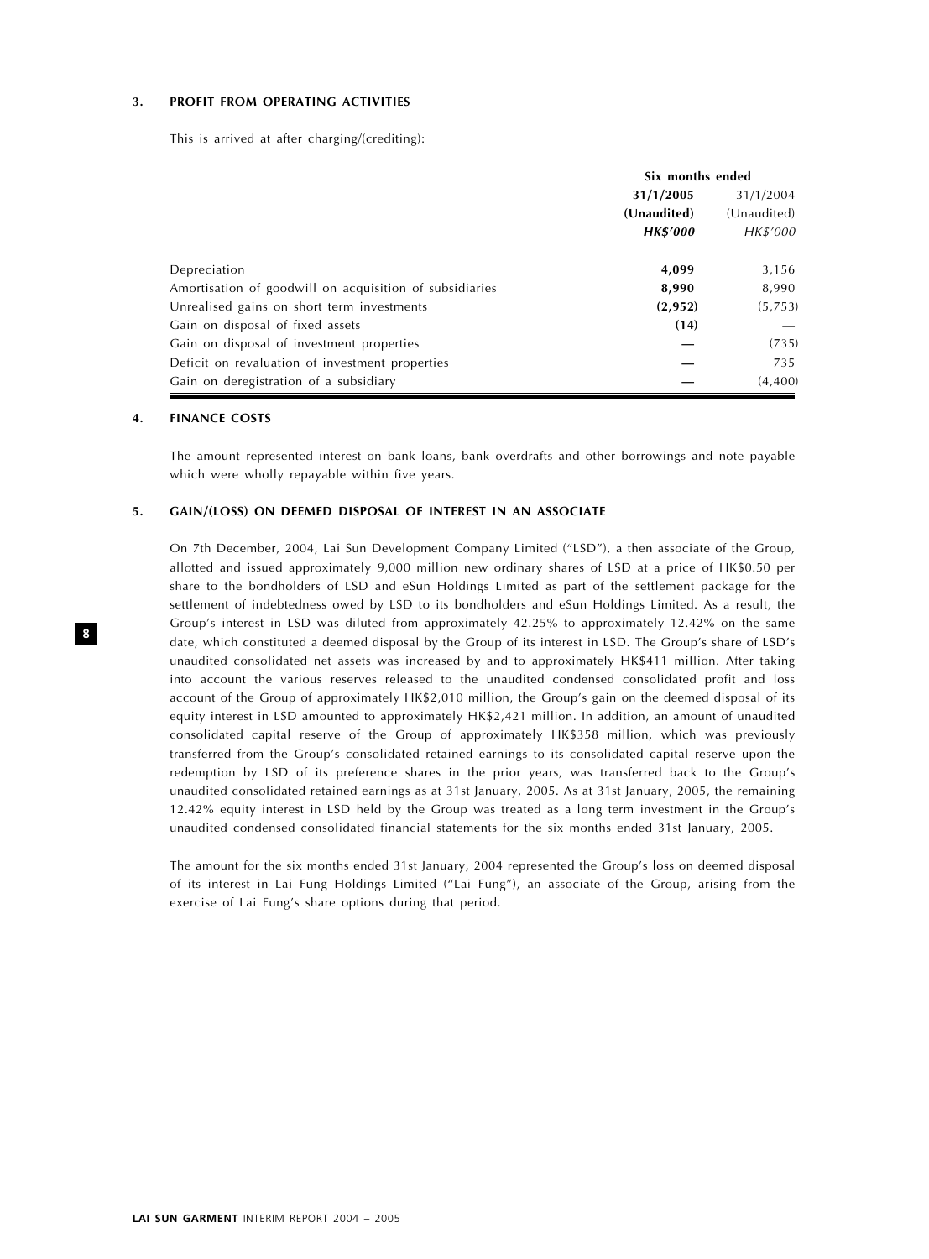# 3. PROFIT FROM OPERATING ACTIVITIES

This is arrived at after charging/(crediting):

|                                                         | Six months ended |             |  |
|---------------------------------------------------------|------------------|-------------|--|
|                                                         | 31/1/2005        | 31/1/2004   |  |
|                                                         | (Unaudited)      | (Unaudited) |  |
|                                                         | <b>HK\$'000</b>  | HK\$'000    |  |
| Depreciation                                            | 4,099            | 3,156       |  |
| Amortisation of goodwill on acquisition of subsidiaries | 8,990            | 8,990       |  |
| Unrealised gains on short term investments              | (2,952)          | (5,753)     |  |
| Gain on disposal of fixed assets                        | (14)             |             |  |
| Gain on disposal of investment properties               |                  | (735)       |  |
| Deficit on revaluation of investment properties         |                  | 735         |  |
| Gain on deregistration of a subsidiary                  |                  | (4,400)     |  |

#### 4. FINANCE COSTS

The amount represented interest on bank loans, bank overdrafts and other borrowings and note payable which were wholly repayable within five years.

#### 5. GAIN/(LOSS) ON DEEMED DISPOSAL OF INTEREST IN AN ASSOCIATE

On 7th December, 2004, Lai Sun Development Company Limited ("LSD"), a then associate of the Group, allotted and issued approximately 9,000 million new ordinary shares of LSD at a price of HK\$0.50 per share to the bondholders of LSD and eSun Holdings Limited as part of the settlement package for the settlement of indebtedness owed by LSD to its bondholders and eSun Holdings Limited. As a result, the Group's interest in LSD was diluted from approximately 42.25% to approximately 12.42% on the same date, which constituted a deemed disposal by the Group of its interest in LSD. The Group's share of LSD's unaudited consolidated net assets was increased by and to approximately HK\$411 million. After taking into account the various reserves released to the unaudited condensed consolidated profit and loss account of the Group of approximately HK\$2,010 million, the Group's gain on the deemed disposal of its equity interest in LSD amounted to approximately HK\$2,421 million. In addition, an amount of unaudited consolidated capital reserve of the Group of approximately HK\$358 million, which was previously transferred from the Group's consolidated retained earnings to its consolidated capital reserve upon the redemption by LSD of its preference shares in the prior years, was transferred back to the Group's unaudited consolidated retained earnings as at 31st January, 2005. As at 31st January, 2005, the remaining 12.42% equity interest in LSD held by the Group was treated as a long term investment in the Group's unaudited condensed consolidated financial statements for the six months ended 31st January, 2005.

The amount for the six months ended 31st January, 2004 represented the Group's loss on deemed disposal of its interest in Lai Fung Holdings Limited (''Lai Fung''), an associate of the Group, arising from the exercise of Lai Fung's share options during that period.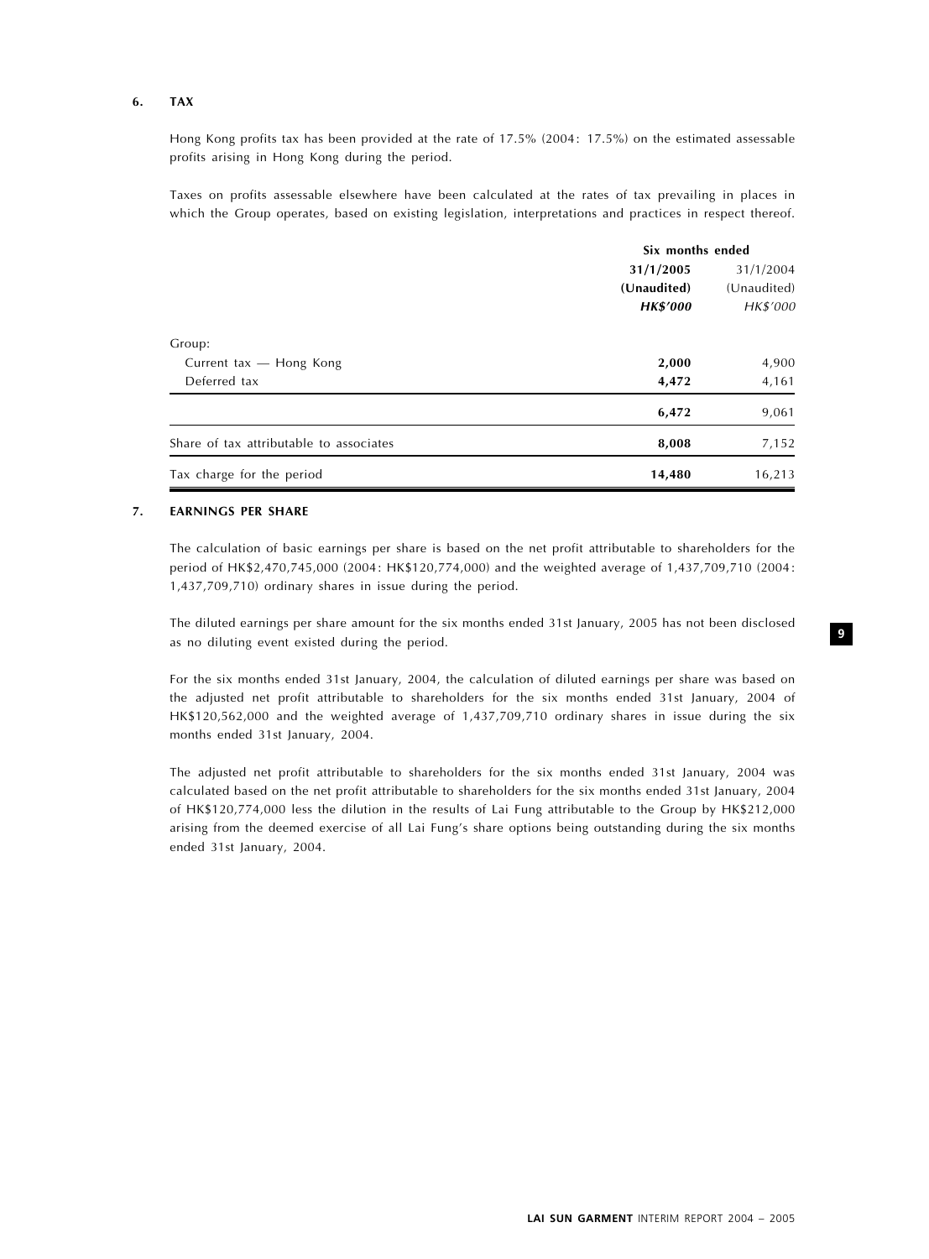## 6. TAX

Hong Kong profits tax has been provided at the rate of 17.5% (2004: 17.5%) on the estimated assessable profits arising in Hong Kong during the period.

Taxes on profits assessable elsewhere have been calculated at the rates of tax prevailing in places in which the Group operates, based on existing legislation, interpretations and practices in respect thereof.

|                                         | Six months ended |             |  |
|-----------------------------------------|------------------|-------------|--|
|                                         | 31/1/2005        | 31/1/2004   |  |
|                                         | (Unaudited)      | (Unaudited) |  |
|                                         | <b>HK\$'000</b>  | HK\$'000    |  |
| Group:                                  |                  |             |  |
| Current tax - Hong Kong                 | 2,000            | 4,900       |  |
| Deferred tax                            | 4,472            | 4,161       |  |
|                                         | 6,472            | 9,061       |  |
| Share of tax attributable to associates | 8,008            | 7,152       |  |
| Tax charge for the period               | 14,480           | 16,213      |  |

#### 7. EARNINGS PER SHARE

The calculation of basic earnings per share is based on the net profit attributable to shareholders for the period of HK\$2,470,745,000 (2004: HK\$120,774,000) and the weighted average of 1,437,709,710 (2004: 1,437,709,710) ordinary shares in issue during the period.

The diluted earnings per share amount for the six months ended 31st January, 2005 has not been disclosed as no diluting event existed during the period.

For the six months ended 31st January, 2004, the calculation of diluted earnings per share was based on the adjusted net profit attributable to shareholders for the six months ended 31st January, 2004 of HK\$120,562,000 and the weighted average of 1,437,709,710 ordinary shares in issue during the six months ended 31st January, 2004.

The adjusted net profit attributable to shareholders for the six months ended 31st January, 2004 was calculated based on the net profit attributable to shareholders for the six months ended 31st January, 2004 of HK\$120,774,000 less the dilution in the results of Lai Fung attributable to the Group by HK\$212,000 arising from the deemed exercise of all Lai Fung's share options being outstanding during the six months ended 31st January, 2004.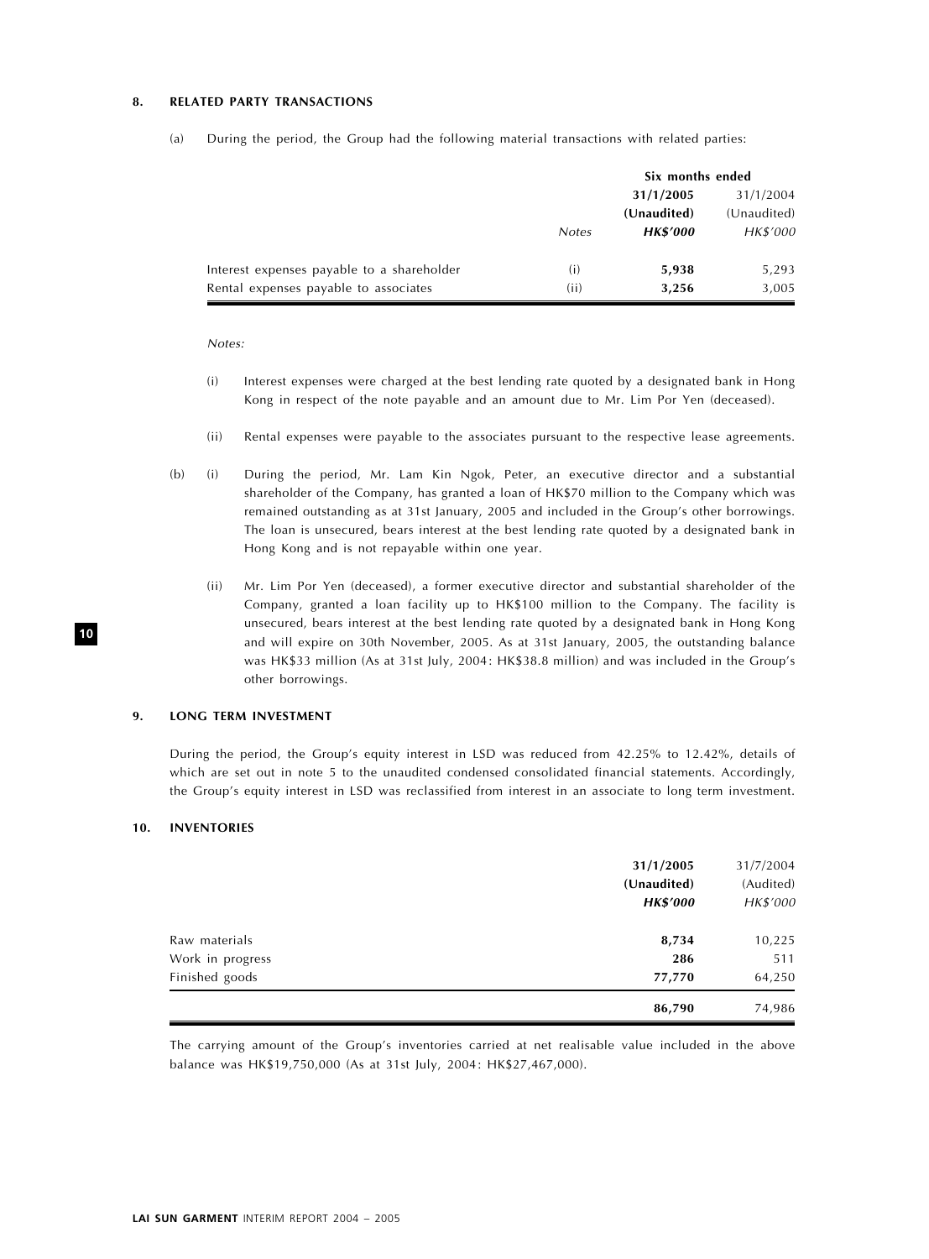## 8. RELATED PARTY TRANSACTIONS

|                                            |              | Six months ended |             |  |
|--------------------------------------------|--------------|------------------|-------------|--|
|                                            |              | 31/1/2005        | 31/1/2004   |  |
|                                            |              | (Unaudited)      | (Unaudited) |  |
|                                            | <b>Notes</b> | <b>HK\$'000</b>  | HK\$'000    |  |
| Interest expenses payable to a shareholder | (i)          | 5,938            | 5,293       |  |
| Rental expenses payable to associates      | (ii)         | 3,256            | 3,005       |  |

(a) During the period, the Group had the following material transactions with related parties:

Notes:

- (i) Interest expenses were charged at the best lending rate quoted by a designated bank in Hong Kong in respect of the note payable and an amount due to Mr. Lim Por Yen (deceased).
- (ii) Rental expenses were payable to the associates pursuant to the respective lease agreements.
- (b) (i) During the period, Mr. Lam Kin Ngok, Peter, an executive director and a substantial shareholder of the Company, has granted a loan of HK\$70 million to the Company which was remained outstanding as at 31st January, 2005 and included in the Group's other borrowings. The loan is unsecured, bears interest at the best lending rate quoted by a designated bank in Hong Kong and is not repayable within one year.
	- (ii) Mr. Lim Por Yen (deceased), a former executive director and substantial shareholder of the Company, granted a loan facility up to HK\$100 million to the Company. The facility is unsecured, bears interest at the best lending rate quoted by a designated bank in Hong Kong and will expire on 30th November, 2005. As at 31st January, 2005, the outstanding balance was HK\$33 million (As at 31st July, 2004: HK\$38.8 million) and was included in the Group's other borrowings.

#### 9. LONG TERM INVESTMENT

During the period, the Group's equity interest in LSD was reduced from 42.25% to 12.42%, details of which are set out in note 5 to the unaudited condensed consolidated financial statements. Accordingly, the Group's equity interest in LSD was reclassified from interest in an associate to long term investment.

#### 10. INVENTORIES

|                  | 31/1/2005<br>(Unaudited)<br><b>HK\$'000</b> | 31/7/2004<br>(Audited)<br>HK\$'000 |
|------------------|---------------------------------------------|------------------------------------|
| Raw materials    | 8,734                                       | 10,225                             |
| Work in progress | 286                                         | 511                                |
| Finished goods   | 77,770                                      | 64,250                             |
|                  | 86,790                                      | 74,986                             |

The carrying amount of the Group's inventories carried at net realisable value included in the above balance was HK\$19,750,000 (As at 31st July, 2004: HK\$27,467,000).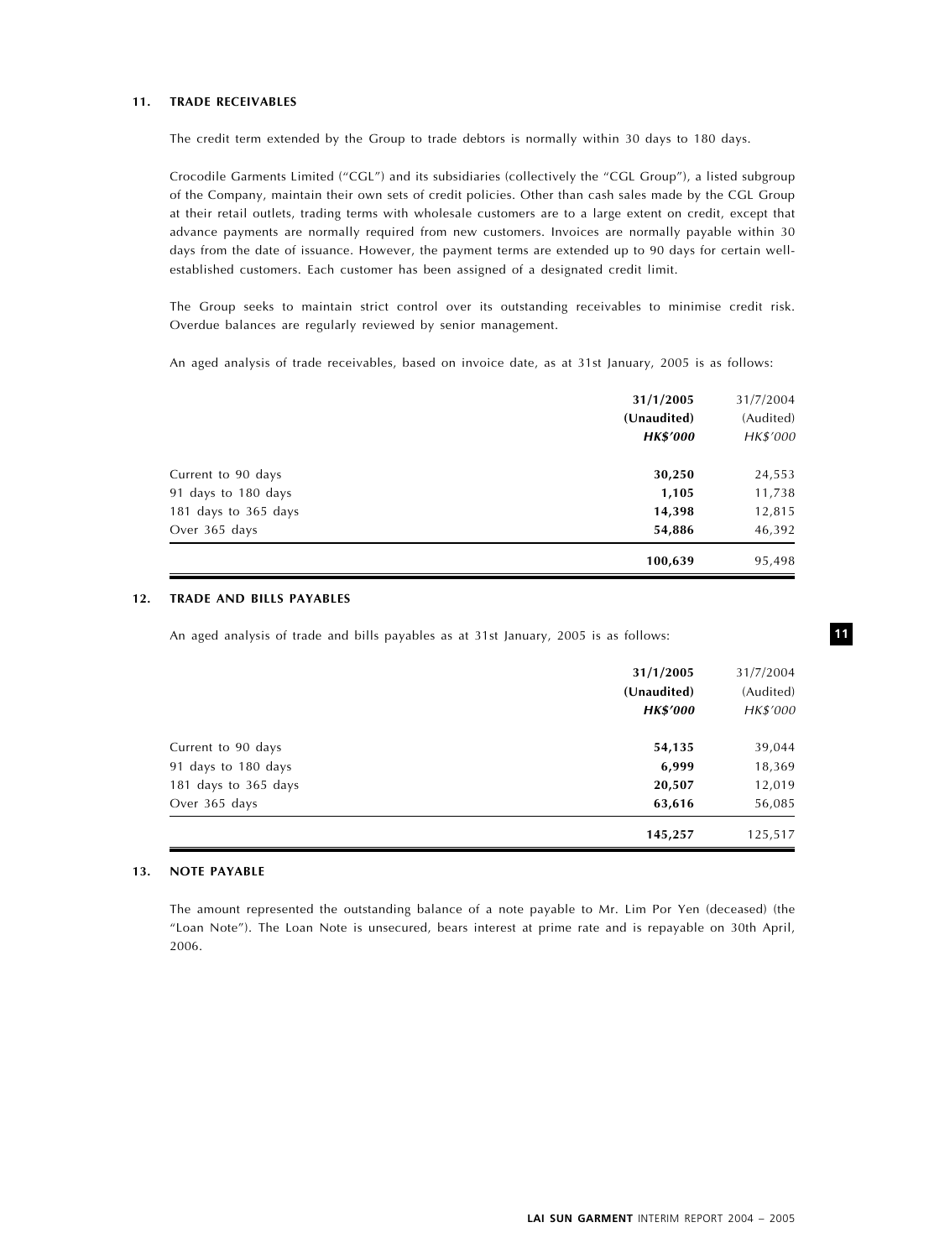# 11. TRADE RECEIVABLES

The credit term extended by the Group to trade debtors is normally within 30 days to 180 days.

Crocodile Garments Limited (''CGL'') and its subsidiaries (collectively the ''CGL Group''), a listed subgroup of the Company, maintain their own sets of credit policies. Other than cash sales made by the CGL Group at their retail outlets, trading terms with wholesale customers are to a large extent on credit, except that advance payments are normally required from new customers. Invoices are normally payable within 30 days from the date of issuance. However, the payment terms are extended up to 90 days for certain wellestablished customers. Each customer has been assigned of a designated credit limit.

The Group seeks to maintain strict control over its outstanding receivables to minimise credit risk. Overdue balances are regularly reviewed by senior management.

An aged analysis of trade receivables, based on invoice date, as at 31st January, 2005 is as follows:

|                      | 31/1/2005<br>(Unaudited)<br><b>HK\$'000</b> | 31/7/2004<br>(Audited)<br>HK\$'000 |
|----------------------|---------------------------------------------|------------------------------------|
| Current to 90 days   | 30,250                                      | 24,553                             |
| 91 days to 180 days  | 1,105                                       | 11,738                             |
| 181 days to 365 days | 14,398                                      | 12,815                             |
| Over 365 days        | 54,886                                      | 46,392                             |
|                      | 100,639                                     | 95,498                             |

#### 12. TRADE AND BILLS PAYABLES

An aged analysis of trade and bills payables as at 31st January, 2005 is as follows:

|                      | 31/1/2005<br>(Unaudited)<br><b>HK\$'000</b> | 31/7/2004<br>(Audited)<br>HK\$'000 |
|----------------------|---------------------------------------------|------------------------------------|
| Current to 90 days   | 54,135                                      | 39,044                             |
| 91 days to 180 days  | 6,999                                       | 18,369                             |
| 181 days to 365 days | 20,507                                      | 12,019                             |
| Over 365 days        | 63,616                                      | 56,085                             |
|                      | 145,257                                     | 125,517                            |

#### 13. NOTE PAYABLE

The amount represented the outstanding balance of a note payable to Mr. Lim Por Yen (deceased) (the ''Loan Note''). The Loan Note is unsecured, bears interest at prime rate and is repayable on 30th April, 2006.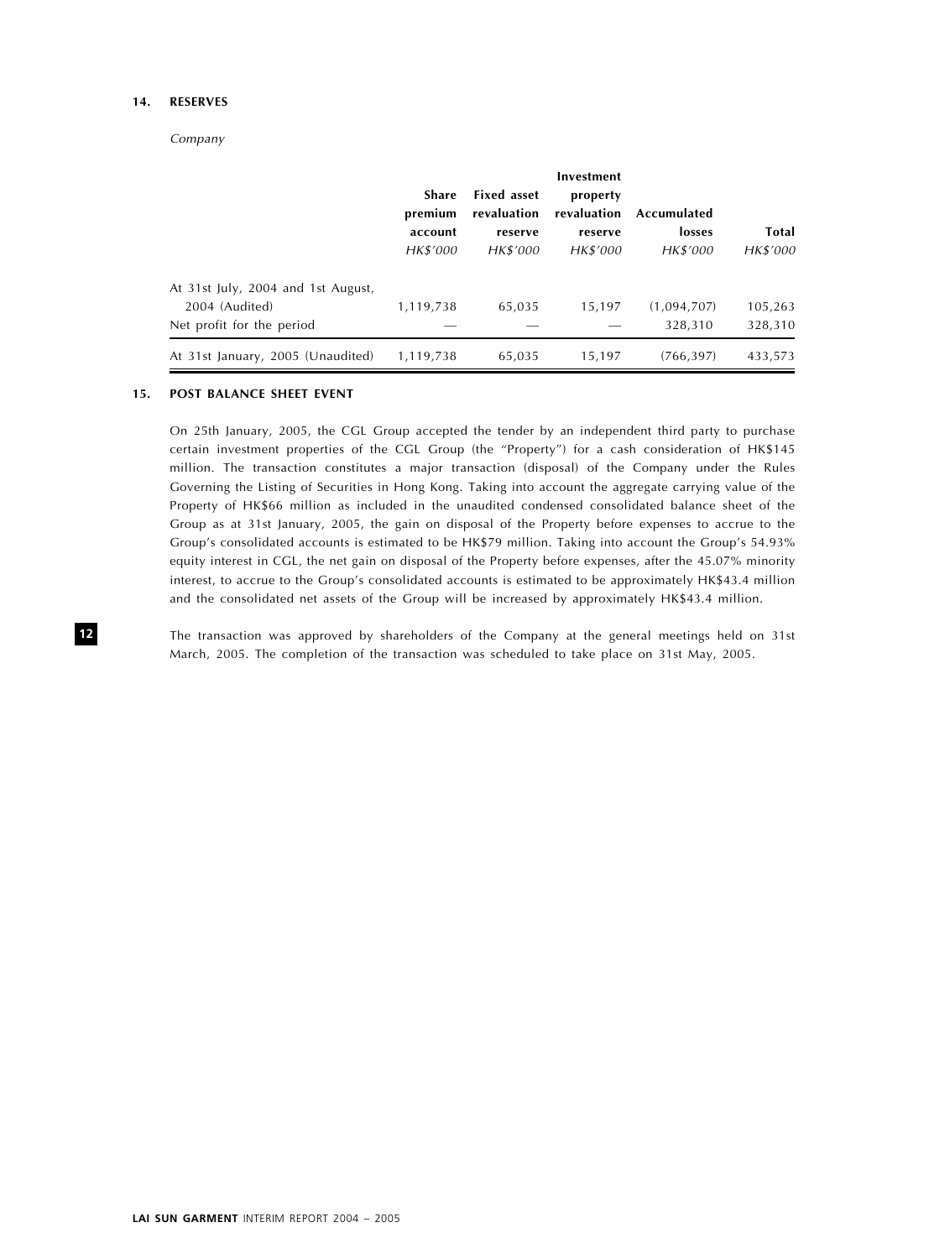# 14. RESERVES

Company

|                                    |           |                    | Investment  |             |              |
|------------------------------------|-----------|--------------------|-------------|-------------|--------------|
|                                    | Share     | <b>Fixed asset</b> | property    |             |              |
|                                    | premium   | revaluation        | revaluation | Accumulated |              |
|                                    | account   | reserve            | reserve     | losses      | <b>Total</b> |
|                                    | HK\$'000  | HK\$'000           | HK\$'000    | HK\$'000    | HK\$'000     |
| At 31st July, 2004 and 1st August, |           |                    |             |             |              |
| 2004 (Audited)                     | 1,119,738 | 65.035             | 15.197      | (1,094,707) | 105,263      |
| Net profit for the period          |           |                    |             | 328.310     | 328,310      |
| At 31st January, 2005 (Unaudited)  | 1,119,738 | 65,035             | 15,197      | (766, 397)  | 433,573      |

#### 15. POST BALANCE SHEET EVENT

On 25th January, 2005, the CGL Group accepted the tender by an independent third party to purchase certain investment properties of the CGL Group (the "Property") for a cash consideration of HK\$145 million. The transaction constitutes a major transaction (disposal) of the Company under the Rules Governing the Listing of Securities in Hong Kong. Taking into account the aggregate carrying value of the Property of HK\$66 million as included in the unaudited condensed consolidated balance sheet of the Group as at 31st January, 2005, the gain on disposal of the Property before expenses to accrue to the Group's consolidated accounts is estimated to be HK\$79 million. Taking into account the Group's 54.93% equity interest in CGL, the net gain on disposal of the Property before expenses, after the 45.07% minority interest, to accrue to the Group's consolidated accounts is estimated to be approximately HK\$43.4 million and the consolidated net assets of the Group will be increased by approximately HK\$43.4 million.

The transaction was approved by shareholders of the Company at the general meetings held on 31st March, 2005. The completion of the transaction was scheduled to take place on 31st May, 2005.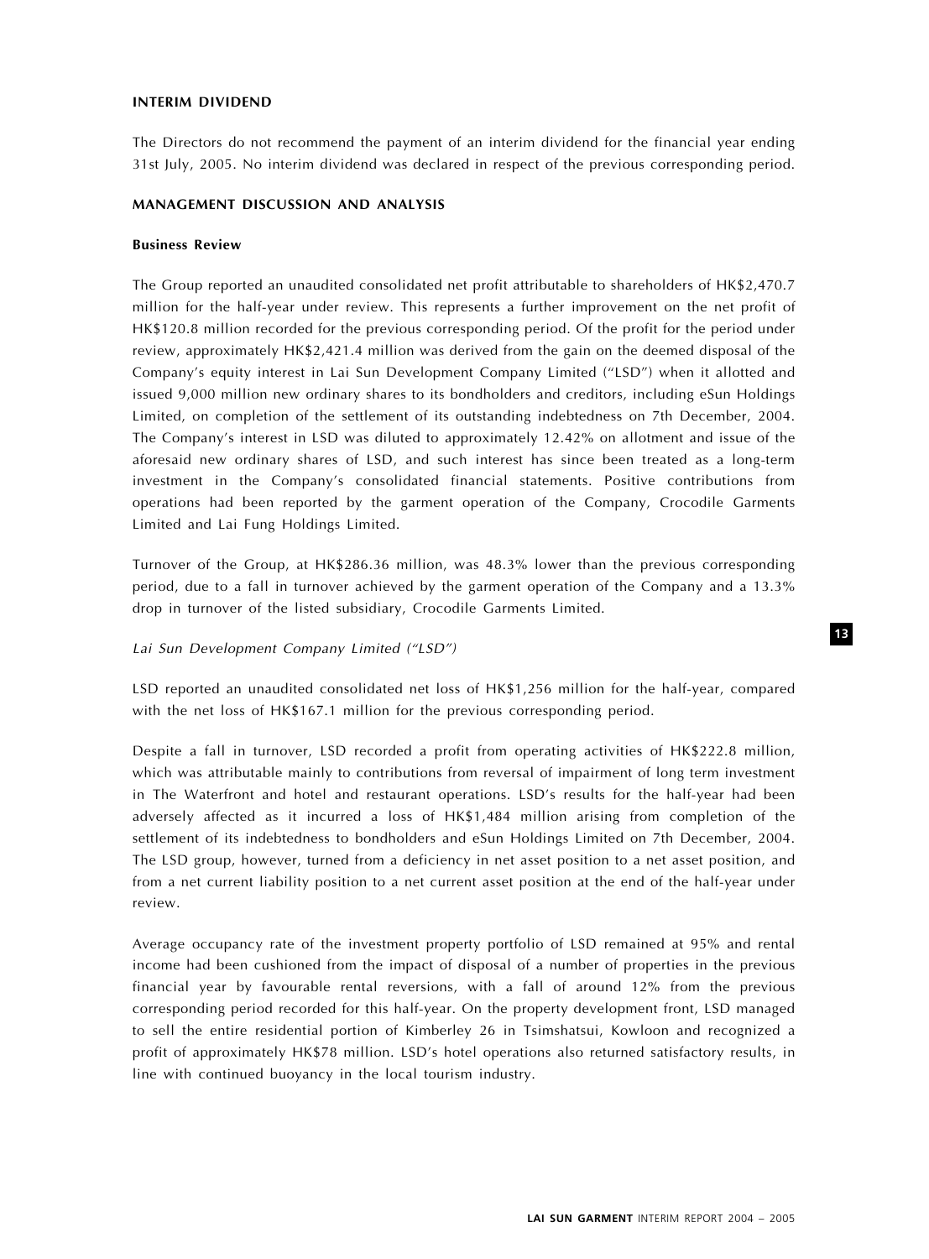# INTERIM DIVIDEND

The Directors do not recommend the payment of an interim dividend for the financial year ending 31st July, 2005. No interim dividend was declared in respect of the previous corresponding period.

#### MANAGEMENT DISCUSSION AND ANALYSIS

#### Business Review

The Group reported an unaudited consolidated net profit attributable to shareholders of HK\$2,470.7 million for the half-year under review. This represents a further improvement on the net profit of HK\$120.8 million recorded for the previous corresponding period. Of the profit for the period under review, approximately HK\$2,421.4 million was derived from the gain on the deemed disposal of the Company's equity interest in Lai Sun Development Company Limited (''LSD'') when it allotted and issued 9,000 million new ordinary shares to its bondholders and creditors, including eSun Holdings Limited, on completion of the settlement of its outstanding indebtedness on 7th December, 2004. The Company's interest in LSD was diluted to approximately 12.42% on allotment and issue of the aforesaid new ordinary shares of LSD, and such interest has since been treated as a long-term investment in the Company's consolidated financial statements. Positive contributions from operations had been reported by the garment operation of the Company, Crocodile Garments Limited and Lai Fung Holdings Limited.

Turnover of the Group, at HK\$286.36 million, was 48.3% lower than the previous corresponding period, due to a fall in turnover achieved by the garment operation of the Company and a 13.3% drop in turnover of the listed subsidiary, Crocodile Garments Limited.

## Lai Sun Development Company Limited ("LSD")

LSD reported an unaudited consolidated net loss of HK\$1,256 million for the half-year, compared with the net loss of HK\$167.1 million for the previous corresponding period.

Despite a fall in turnover, LSD recorded a profit from operating activities of HK\$222.8 million, which was attributable mainly to contributions from reversal of impairment of long term investment in The Waterfront and hotel and restaurant operations. LSD's results for the half-year had been adversely affected as it incurred a loss of HK\$1,484 million arising from completion of the settlement of its indebtedness to bondholders and eSun Holdings Limited on 7th December, 2004. The LSD group, however, turned from a deficiency in net asset position to a net asset position, and from a net current liability position to a net current asset position at the end of the half-year under review.

Average occupancy rate of the investment property portfolio of LSD remained at 95% and rental income had been cushioned from the impact of disposal of a number of properties in the previous financial year by favourable rental reversions, with a fall of around 12% from the previous corresponding period recorded for this half-year. On the property development front, LSD managed to sell the entire residential portion of Kimberley 26 in Tsimshatsui, Kowloon and recognized a profit of approximately HK\$78 million. LSD's hotel operations also returned satisfactory results, in line with continued buoyancy in the local tourism industry.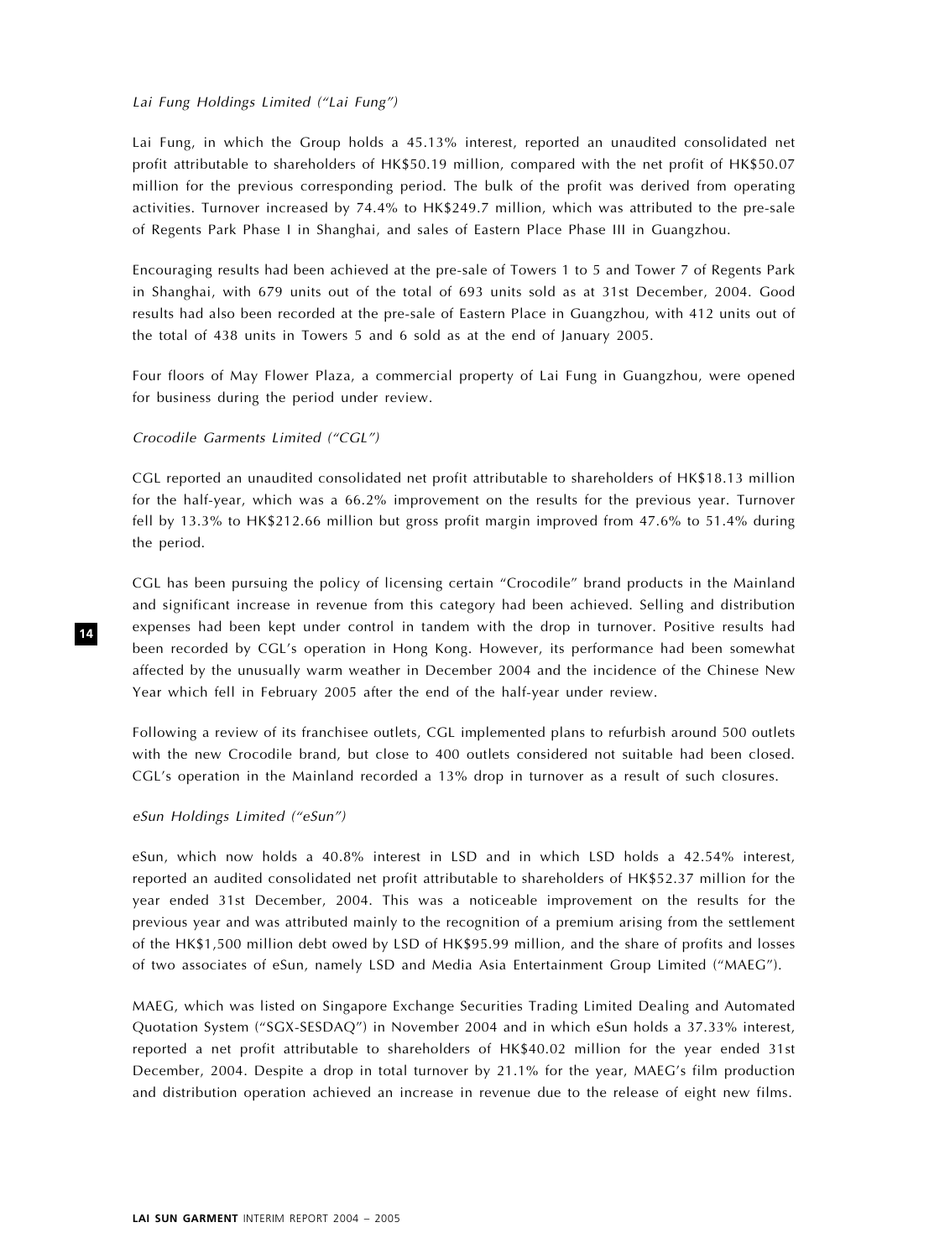#### Lai Fung Holdings Limited ("Lai Fung")

Lai Fung, in which the Group holds a 45.13% interest, reported an unaudited consolidated net profit attributable to shareholders of HK\$50.19 million, compared with the net profit of HK\$50.07 million for the previous corresponding period. The bulk of the profit was derived from operating activities. Turnover increased by 74.4% to HK\$249.7 million, which was attributed to the pre-sale of Regents Park Phase I in Shanghai, and sales of Eastern Place Phase III in Guangzhou.

Encouraging results had been achieved at the pre-sale of Towers 1 to 5 and Tower 7 of Regents Park in Shanghai, with 679 units out of the total of 693 units sold as at 31st December, 2004. Good results had also been recorded at the pre-sale of Eastern Place in Guangzhou, with 412 units out of the total of 438 units in Towers 5 and 6 sold as at the end of January 2005.

Four floors of May Flower Plaza, a commercial property of Lai Fung in Guangzhou, were opened for business during the period under review.

## Crocodile Garments Limited (''CGL'')

CGL reported an unaudited consolidated net profit attributable to shareholders of HK\$18.13 million for the half-year, which was a 66.2% improvement on the results for the previous year. Turnover fell by 13.3% to HK\$212.66 million but gross profit margin improved from 47.6% to 51.4% during the period.

CGL has been pursuing the policy of licensing certain ''Crocodile'' brand products in the Mainland and significant increase in revenue from this category had been achieved. Selling and distribution expenses had been kept under control in tandem with the drop in turnover. Positive results had been recorded by CGL's operation in Hong Kong. However, its performance had been somewhat affected by the unusually warm weather in December 2004 and the incidence of the Chinese New Year which fell in February 2005 after the end of the half-year under review.

Following a review of its franchisee outlets, CGL implemented plans to refurbish around 500 outlets with the new Crocodile brand, but close to 400 outlets considered not suitable had been closed. CGL's operation in the Mainland recorded a 13% drop in turnover as a result of such closures.

#### eSun Holdings Limited ("eSun")

eSun, which now holds a 40.8% interest in LSD and in which LSD holds a 42.54% interest, reported an audited consolidated net profit attributable to shareholders of HK\$52.37 million for the year ended 31st December, 2004. This was a noticeable improvement on the results for the previous year and was attributed mainly to the recognition of a premium arising from the settlement of the HK\$1,500 million debt owed by LSD of HK\$95.99 million, and the share of profits and losses of two associates of eSun, namely LSD and Media Asia Entertainment Group Limited (''MAEG'').

MAEG, which was listed on Singapore Exchange Securities Trading Limited Dealing and Automated Quotation System (''SGX-SESDAQ'') in November 2004 and in which eSun holds a 37.33% interest, reported a net profit attributable to shareholders of HK\$40.02 million for the year ended 31st December, 2004. Despite a drop in total turnover by 21.1% for the year, MAEG's film production and distribution operation achieved an increase in revenue due to the release of eight new films.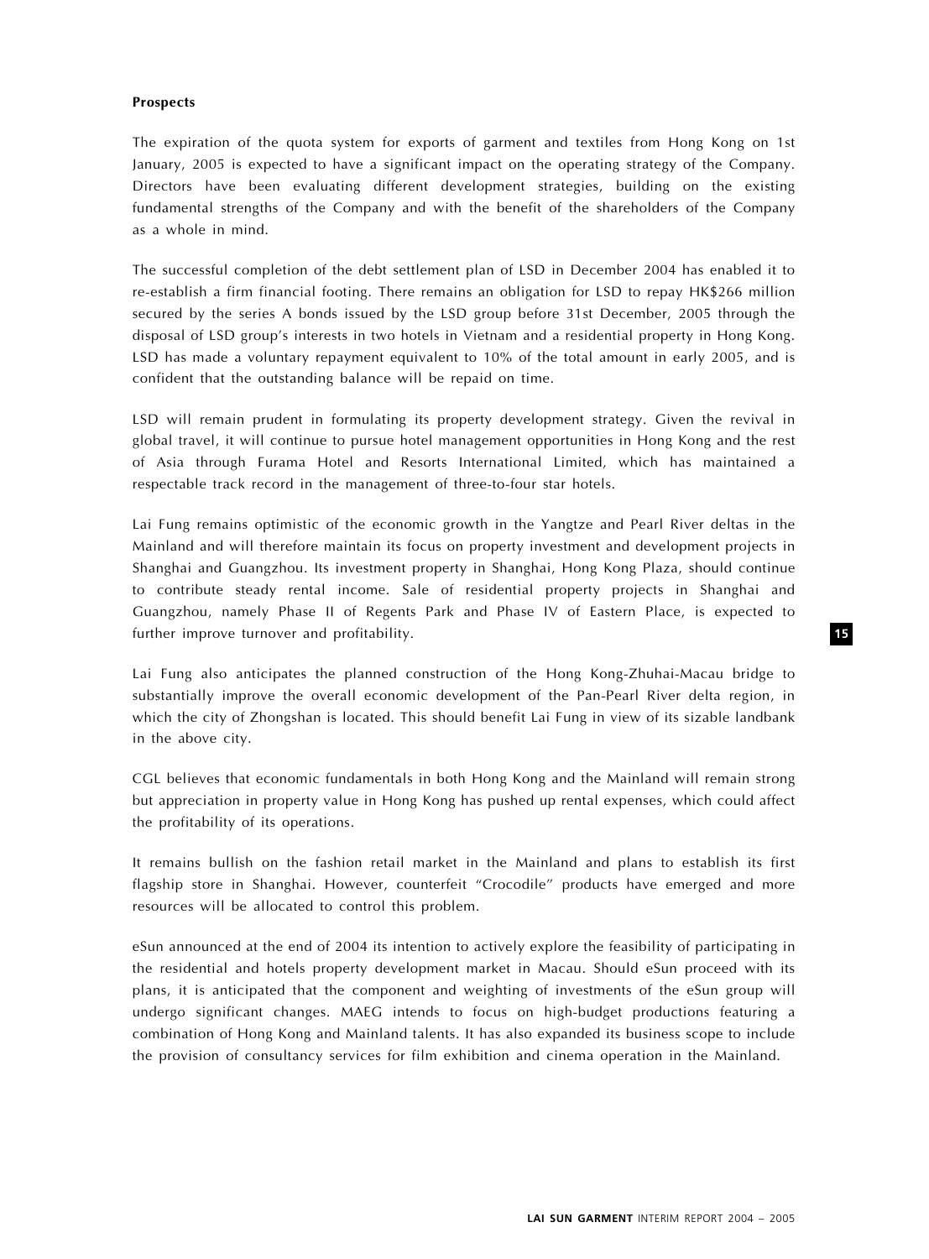## Prospects

The expiration of the quota system for exports of garment and textiles from Hong Kong on 1st January, 2005 is expected to have a significant impact on the operating strategy of the Company. Directors have been evaluating different development strategies, building on the existing fundamental strengths of the Company and with the benefit of the shareholders of the Company as a whole in mind.

The successful completion of the debt settlement plan of LSD in December 2004 has enabled it to re-establish a firm financial footing. There remains an obligation for LSD to repay HK\$266 million secured by the series A bonds issued by the LSD group before 31st December, 2005 through the disposal of LSD group's interests in two hotels in Vietnam and a residential property in Hong Kong. LSD has made a voluntary repayment equivalent to 10% of the total amount in early 2005, and is confident that the outstanding balance will be repaid on time.

LSD will remain prudent in formulating its property development strategy. Given the revival in global travel, it will continue to pursue hotel management opportunities in Hong Kong and the rest of Asia through Furama Hotel and Resorts International Limited, which has maintained a respectable track record in the management of three-to-four star hotels.

Lai Fung remains optimistic of the economic growth in the Yangtze and Pearl River deltas in the Mainland and will therefore maintain its focus on property investment and development projects in Shanghai and Guangzhou. Its investment property in Shanghai, Hong Kong Plaza, should continue to contribute steady rental income. Sale of residential property projects in Shanghai and Guangzhou, namely Phase II of Regents Park and Phase IV of Eastern Place, is expected to further improve turnover and profitability.

Lai Fung also anticipates the planned construction of the Hong Kong-Zhuhai-Macau bridge to substantially improve the overall economic development of the Pan-Pearl River delta region, in which the city of Zhongshan is located. This should benefit Lai Fung in view of its sizable landbank in the above city.

CGL believes that economic fundamentals in both Hong Kong and the Mainland will remain strong but appreciation in property value in Hong Kong has pushed up rental expenses, which could affect the profitability of its operations.

It remains bullish on the fashion retail market in the Mainland and plans to establish its first flagship store in Shanghai. However, counterfeit "Crocodile" products have emerged and more resources will be allocated to control this problem.

eSun announced at the end of 2004 its intention to actively explore the feasibility of participating in the residential and hotels property development market in Macau. Should eSun proceed with its plans, it is anticipated that the component and weighting of investments of the eSun group will undergo significant changes. MAEG intends to focus on high-budget productions featuring a combination of Hong Kong and Mainland talents. It has also expanded its business scope to include the provision of consultancy services for film exhibition and cinema operation in the Mainland.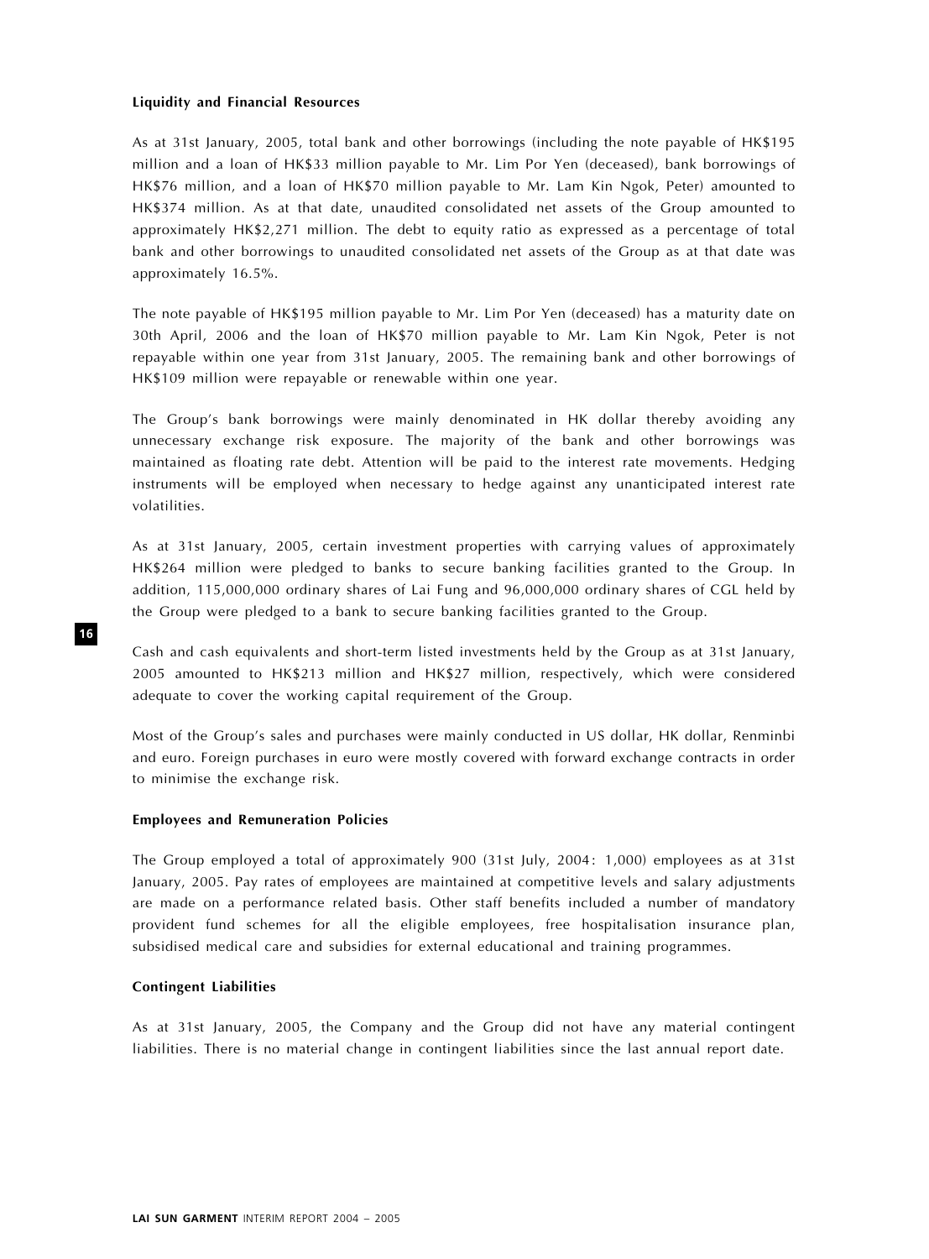#### Liquidity and Financial Resources

As at 31st January, 2005, total bank and other borrowings (including the note payable of HK\$195 million and a loan of HK\$33 million payable to Mr. Lim Por Yen (deceased), bank borrowings of HK\$76 million, and a loan of HK\$70 million payable to Mr. Lam Kin Ngok, Peter) amounted to HK\$374 million. As at that date, unaudited consolidated net assets of the Group amounted to approximately HK\$2,271 million. The debt to equity ratio as expressed as a percentage of total bank and other borrowings to unaudited consolidated net assets of the Group as at that date was approximately 16.5%.

The note payable of HK\$195 million payable to Mr. Lim Por Yen (deceased) has a maturity date on 30th April, 2006 and the loan of HK\$70 million payable to Mr. Lam Kin Ngok, Peter is not repayable within one year from 31st January, 2005. The remaining bank and other borrowings of HK\$109 million were repayable or renewable within one year.

The Group's bank borrowings were mainly denominated in HK dollar thereby avoiding any unnecessary exchange risk exposure. The majority of the bank and other borrowings was maintained as floating rate debt. Attention will be paid to the interest rate movements. Hedging instruments will be employed when necessary to hedge against any unanticipated interest rate volatilities.

As at 31st January, 2005, certain investment properties with carrying values of approximately HK\$264 million were pledged to banks to secure banking facilities granted to the Group. In addition, 115,000,000 ordinary shares of Lai Fung and 96,000,000 ordinary shares of CGL held by the Group were pledged to a bank to secure banking facilities granted to the Group.

Cash and cash equivalents and short-term listed investments held by the Group as at 31st January, 2005 amounted to HK\$213 million and HK\$27 million, respectively, which were considered adequate to cover the working capital requirement of the Group.

Most of the Group's sales and purchases were mainly conducted in US dollar, HK dollar, Renminbi and euro. Foreign purchases in euro were mostly covered with forward exchange contracts in order to minimise the exchange risk.

#### Employees and Remuneration Policies

The Group employed a total of approximately 900 (31st July, 2004: 1,000) employees as at 31st January, 2005. Pay rates of employees are maintained at competitive levels and salary adjustments are made on a performance related basis. Other staff benefits included a number of mandatory provident fund schemes for all the eligible employees, free hospitalisation insurance plan, subsidised medical care and subsidies for external educational and training programmes.

## Contingent Liabilities

As at 31st January, 2005, the Company and the Group did not have any material contingent liabilities. There is no material change in contingent liabilities since the last annual report date.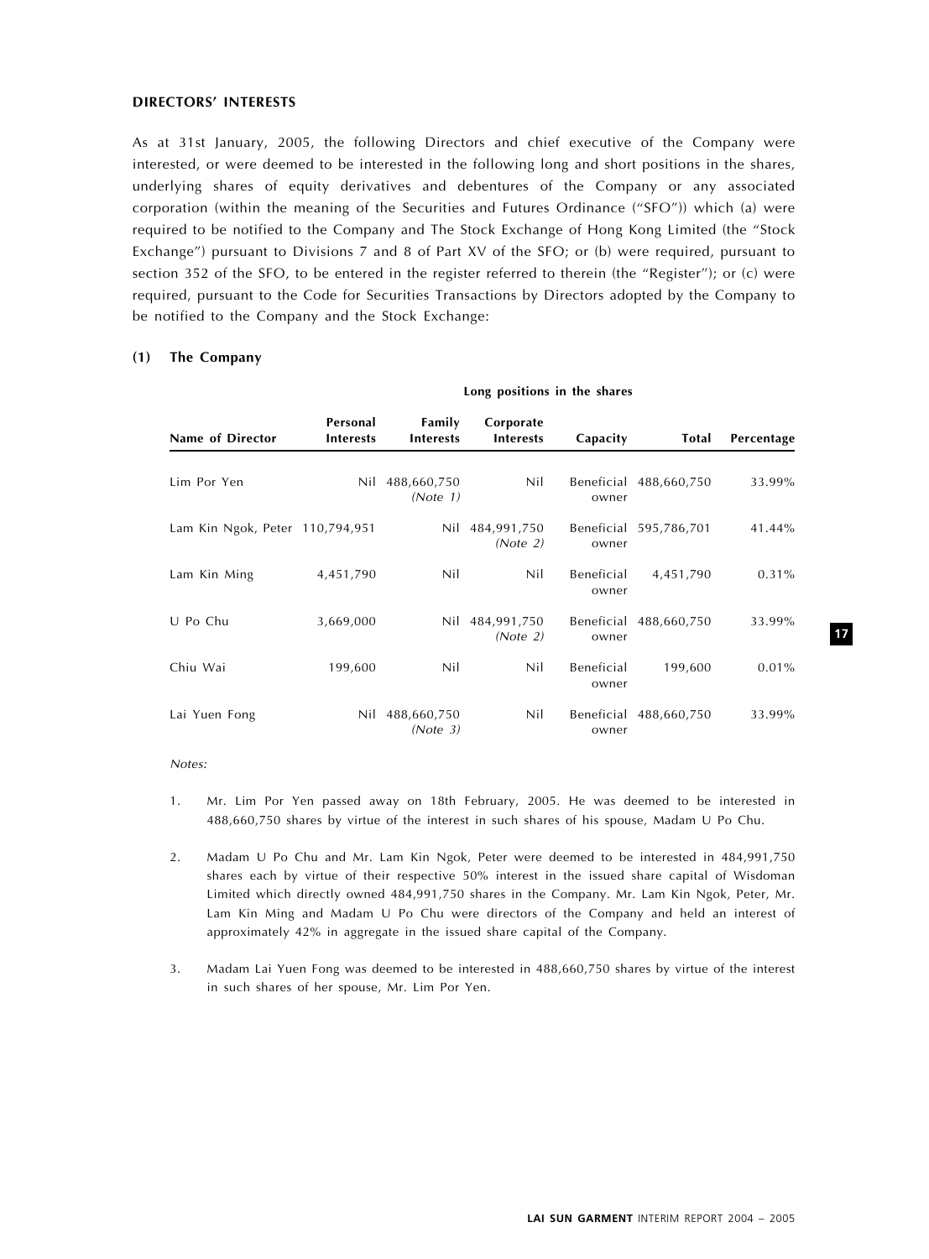## DIRECTORS' INTERESTS

As at 31st January, 2005, the following Directors and chief executive of the Company were interested, or were deemed to be interested in the following long and short positions in the shares, underlying shares of equity derivatives and debentures of the Company or any associated corporation (within the meaning of the Securities and Futures Ordinance ("SFO")) which (a) were required to be notified to the Company and The Stock Exchange of Hong Kong Limited (the "Stock Exchange") pursuant to Divisions 7 and 8 of Part XV of the SFO; or (b) were required, pursuant to section 352 of the SFO, to be entered in the register referred to therein (the "Register"); or (c) were required, pursuant to the Code for Securities Transactions by Directors adopted by the Company to be notified to the Company and the Stock Exchange:

## (1) The Company

|                                 |                              |                            | . .                           |                     |                        |            |
|---------------------------------|------------------------------|----------------------------|-------------------------------|---------------------|------------------------|------------|
| Name of Director                | Personal<br><b>Interests</b> | Family<br><b>Interests</b> | Corporate<br><b>Interests</b> | Capacity            | Total                  | Percentage |
| Lim Por Yen                     | Nil                          | 488,660,750<br>(Note 1)    | Nil                           | owner               | Beneficial 488,660,750 | 33.99%     |
| Lam Kin Ngok, Peter 110,794,951 |                              | Nil                        | 484,991,750<br>(Note 2)       | owner               | Beneficial 595,786,701 | 41.44%     |
| Lam Kin Ming                    | 4,451,790                    | Nil                        | Nil                           | Beneficial<br>owner | 4,451,790              | 0.31%      |
| U Po Chu                        | 3,669,000                    | Nil                        | 484,991,750<br>(Note 2)       | owner               | Beneficial 488,660,750 | 33.99%     |
| Chiu Wai                        | 199,600                      | Nil                        | Nil                           | Beneficial<br>owner | 199,600                | 0.01%      |
| Lai Yuen Fong                   | Nil                          | 488,660,750<br>(Note 3)    | Nil                           | owner               | Beneficial 488,660,750 | 33.99%     |

Long positions in the shares

#### Notes:

- 1. Mr. Lim Por Yen passed away on 18th February, 2005. He was deemed to be interested in 488,660,750 shares by virtue of the interest in such shares of his spouse, Madam U Po Chu.
- 2. Madam U Po Chu and Mr. Lam Kin Ngok, Peter were deemed to be interested in 484,991,750 shares each by virtue of their respective 50% interest in the issued share capital of Wisdoman Limited which directly owned 484,991,750 shares in the Company. Mr. Lam Kin Ngok, Peter, Mr. Lam Kin Ming and Madam U Po Chu were directors of the Company and held an interest of approximately 42% in aggregate in the issued share capital of the Company.
- 3. Madam Lai Yuen Fong was deemed to be interested in 488,660,750 shares by virtue of the interest in such shares of her spouse, Mr. Lim Por Yen.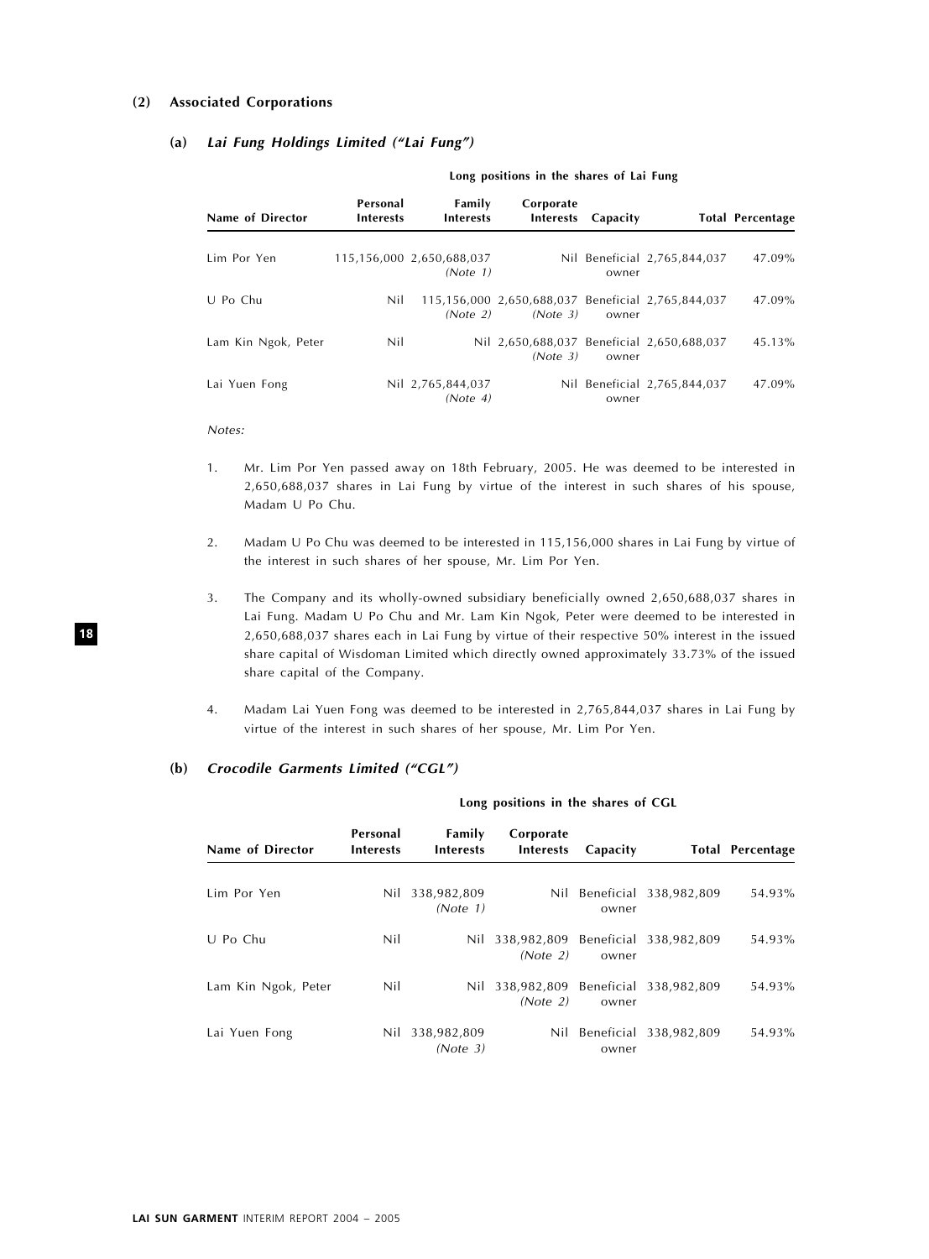# (2) Associated Corporations

## (a) Lai Fung Holdings Limited (''Lai Fung'')

| Name of Director    | Personal<br><b>Interests</b> | Family<br><b>Interests</b>            | Corporate<br>Interests                                         | Capacity |                              | <b>Total Percentage</b> |
|---------------------|------------------------------|---------------------------------------|----------------------------------------------------------------|----------|------------------------------|-------------------------|
| Lim Por Yen         |                              | 115,156,000 2,650,688,037<br>(Note 1) |                                                                | owner    | Nil Beneficial 2,765,844,037 | 47.09%                  |
| U Po Chu            | Nil                          | (Note 2)                              | 115,156,000 2,650,688,037 Beneficial 2,765,844,037<br>(Note 3) | owner    |                              | 47.09%                  |
| Lam Kin Ngok, Peter | Nil                          |                                       | Nil 2.650.688.037 Beneficial 2.650.688.037<br>(Note 3)         | owner    |                              | $45.13\%$               |
| Lai Yuen Fong       |                              | Nil 2,765,844,037<br>(Note 4)         |                                                                | owner    | Nil Beneficial 2,765,844,037 | 47.09%                  |

#### Long positions in the shares of Lai Fung

#### Notes:

- 1. Mr. Lim Por Yen passed away on 18th February, 2005. He was deemed to be interested in 2,650,688,037 shares in Lai Fung by virtue of the interest in such shares of his spouse, Madam U Po Chu.
- 2. Madam U Po Chu was deemed to be interested in 115,156,000 shares in Lai Fung by virtue of the interest in such shares of her spouse, Mr. Lim Por Yen.
- 3. The Company and its wholly-owned subsidiary beneficially owned 2,650,688,037 shares in Lai Fung. Madam U Po Chu and Mr. Lam Kin Ngok, Peter were deemed to be interested in 2,650,688,037 shares each in Lai Fung by virtue of their respective 50% interest in the issued share capital of Wisdoman Limited which directly owned approximately 33.73% of the issued share capital of the Company.
- 4. Madam Lai Yuen Fong was deemed to be interested in 2,765,844,037 shares in Lai Fung by virtue of the interest in such shares of her spouse, Mr. Lim Por Yen.

Long positions in the shares of CGL

#### (b) Crocodile Garments Limited ("CGL")

| Name of Director    | Personal<br><b>Interests</b> | Family<br><b>Interests</b>  | Corporate<br><b>Interests</b>                      | Capacity |                            | <b>Total Percentage</b> |  |
|---------------------|------------------------------|-----------------------------|----------------------------------------------------|----------|----------------------------|-------------------------|--|
| Lim Por Yen         |                              | Nil 338,982,809<br>(Note 1) |                                                    | owner    | Nil Beneficial 338,982,809 | 54.93%                  |  |
| U Po Chu            | Nil                          |                             | Nil 338,982,809 Beneficial 338,982,809<br>(Note 2) | owner    |                            | 54.93%                  |  |
| Lam Kin Ngok, Peter | Nil                          |                             | Nil 338,982,809 Beneficial 338,982,809<br>(Note 2) | owner    |                            | 54.93%                  |  |
| Lai Yuen Fong       |                              | Nil 338,982,809<br>(Note 3) |                                                    | owner    | Nil Beneficial 338,982,809 | 54.93%                  |  |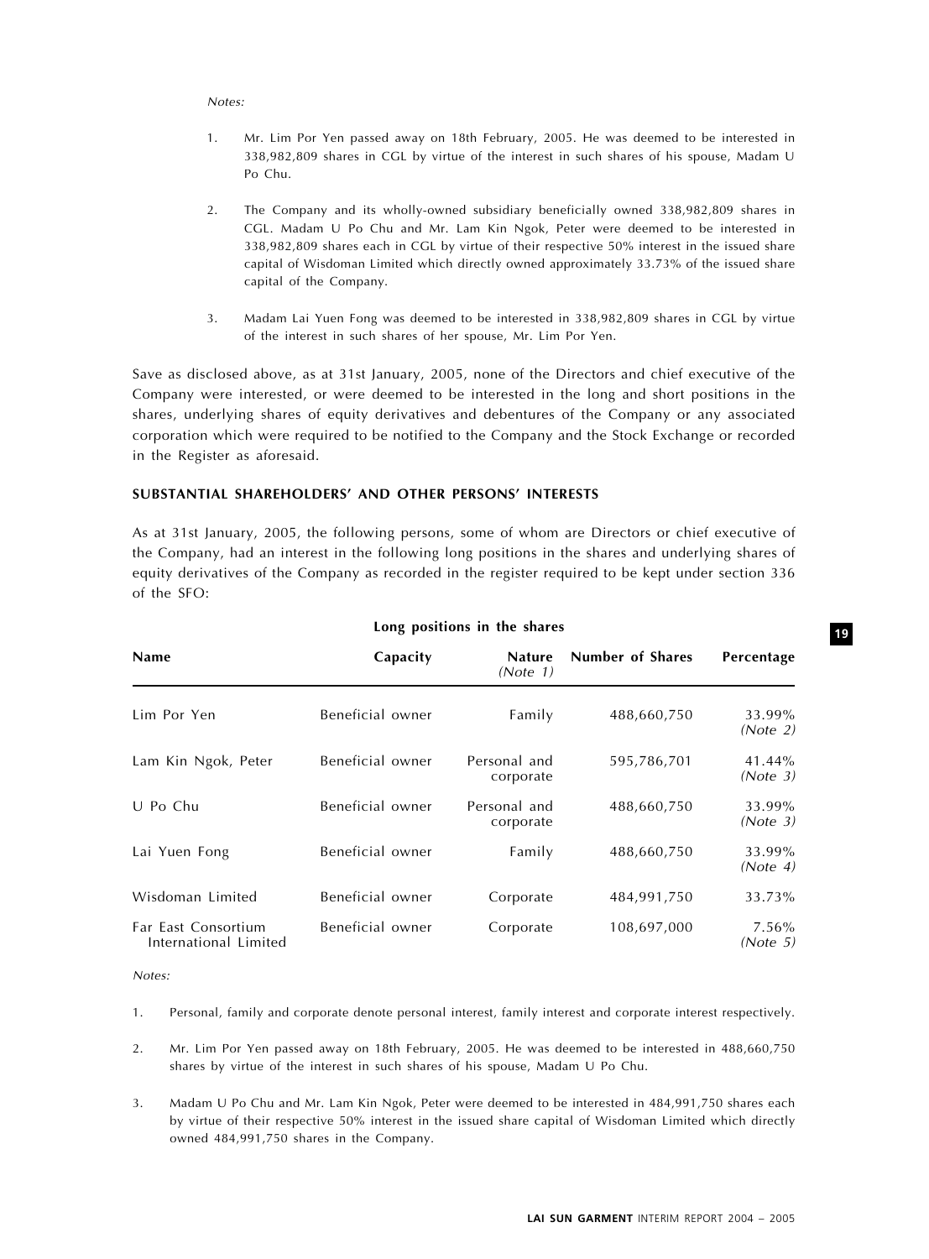#### Notes:

- 1. Mr. Lim Por Yen passed away on 18th February, 2005. He was deemed to be interested in 338,982,809 shares in CGL by virtue of the interest in such shares of his spouse, Madam U Po Chu.
- 2. The Company and its wholly-owned subsidiary beneficially owned 338,982,809 shares in CGL. Madam U Po Chu and Mr. Lam Kin Ngok, Peter were deemed to be interested in 338,982,809 shares each in CGL by virtue of their respective 50% interest in the issued share capital of Wisdoman Limited which directly owned approximately 33.73% of the issued share capital of the Company.
- 3. Madam Lai Yuen Fong was deemed to be interested in 338,982,809 shares in CGL by virtue of the interest in such shares of her spouse, Mr. Lim Por Yen.

Save as disclosed above, as at 31st January, 2005, none of the Directors and chief executive of the Company were interested, or were deemed to be interested in the long and short positions in the shares, underlying shares of equity derivatives and debentures of the Company or any associated corporation which were required to be notified to the Company and the Stock Exchange or recorded in the Register as aforesaid.

# SUBSTANTIAL SHAREHOLDERS' AND OTHER PERSONS' INTERESTS

As at 31st January, 2005, the following persons, some of whom are Directors or chief executive of the Company, had an interest in the following long positions in the shares and underlying shares of equity derivatives of the Company as recorded in the register required to be kept under section 336 of the SFO:

| <b>Name</b>                                  | Capacity         | <b>Nature</b><br>(Note 1) | Number of Shares | Percentage         |
|----------------------------------------------|------------------|---------------------------|------------------|--------------------|
| Lim Por Yen                                  | Beneficial owner | Family                    | 488,660,750      | 33.99%<br>(Note 2) |
| Lam Kin Ngok, Peter                          | Beneficial owner | Personal and<br>corporate | 595,786,701      | 41.44%<br>(Note 3) |
| U Po Chu                                     | Beneficial owner | Personal and<br>corporate | 488,660,750      | 33.99%<br>(Note 3) |
| Lai Yuen Fong                                | Beneficial owner | Family                    | 488,660,750      | 33.99%<br>(Note 4) |
| Wisdoman Limited                             | Beneficial owner | Corporate                 | 484,991,750      | 33.73%             |
| Far East Consortium<br>International Limited | Beneficial owner | Corporate                 | 108,697,000      | 7.56%<br>(Note 5)  |

#### Long positions in the shares

Notes:

1. Personal, family and corporate denote personal interest, family interest and corporate interest respectively.

- 2. Mr. Lim Por Yen passed away on 18th February, 2005. He was deemed to be interested in 488,660,750 shares by virtue of the interest in such shares of his spouse, Madam U Po Chu.
- 3. Madam U Po Chu and Mr. Lam Kin Ngok, Peter were deemed to be interested in 484,991,750 shares each by virtue of their respective 50% interest in the issued share capital of Wisdoman Limited which directly owned 484,991,750 shares in the Company.